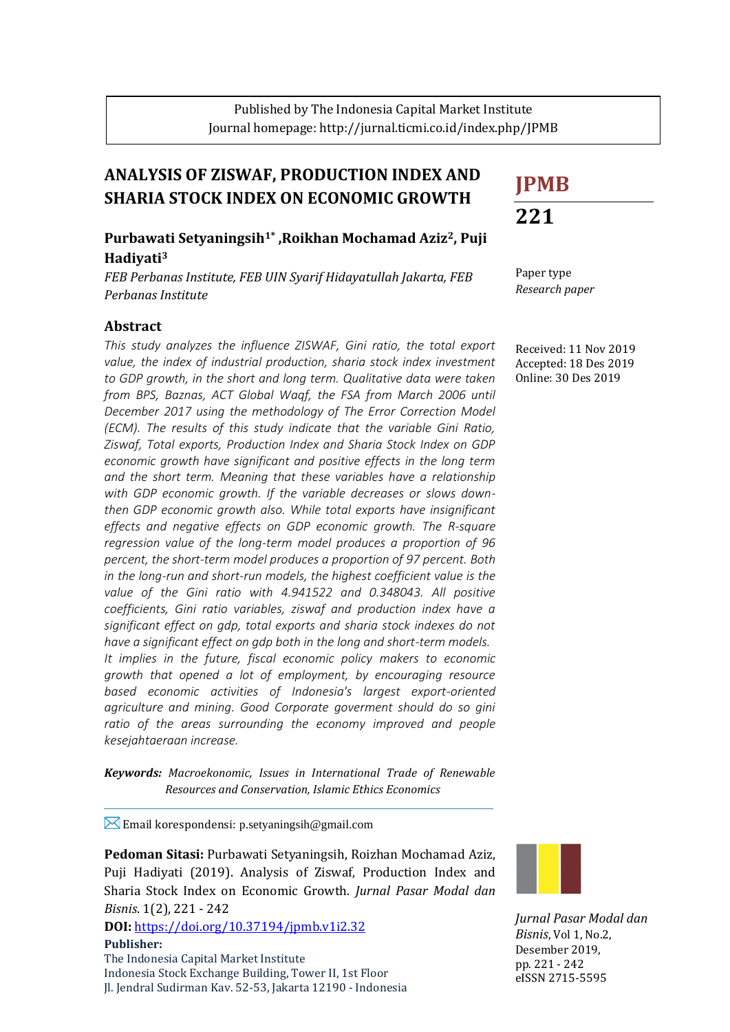# **ANALYSIS OF ZISWAF, PRODUCTION INDEX AND SHARIA STOCK INDEX ON ECONOMIC GROWTH**

## **Purbawati Setyaningsih1\* ,Roikhan Mochamad Aziz2, Puji Hadiyati<sup>3</sup>**

*FEB Perbanas Institute, FEB UIN Syarif Hidayatullah Jakarta, FEB Perbanas Institute*

## **Abstract**

*This study analyzes the influence ZISWAF, Gini ratio, the total export value, the index of industrial production, sharia stock index investment to GDP growth, in the short and long term. Qualitative data were taken from BPS, Baznas, ACT Global Waqf, the FSA from March 2006 until December 2017 using the methodology of The Error Correction Model (ECM). The results of this study indicate that the variable Gini Ratio, Ziswaf, Total exports, Production Index and Sharia Stock Index on GDP economic growth have significant and positive effects in the long term and the short term. Meaning that these variables have a relationship with GDP economic growth. If the variable decreases or slows downthen GDP economic growth also. While total exports have insignificant effects and negative effects on GDP economic growth. The R-square regression value of the long-term model produces a proportion of 96 percent, the short-term model produces a proportion of 97 percent. Both in the long-run and short-run models, the highest coefficient value is the*  value of the Gini ratio with 4.941522 and 0.348043. All positive *coefficients, Gini ratio variables, ziswaf and production index have a significant effect on gdp, total exports and sharia stock indexes do not have a significant effect on gdp both in the long and short-term models. It implies in the future, fiscal economic policy makers to economic growth that opened a lot of employment, by encouraging resource based economic activities of Indonesia's largest export-oriented agriculture and mining. Good Corporate goverment should do so gini*  ratio of the areas surrounding the economy improved and people *kesejahtaeraan increase.*

*Keywords: Macroekonomic, Issues in International Trade of Renewable Resources and Conservation, Islamic Ethics Economics*

**Email korespondensi: p.setyaningsih@gmail.com** 

**Pedoman Sitasi:** Purbawati Setyaningsih, Roizhan Mochamad Aziz, Puji Hadiyati (2019). Analysis of Ziswaf, Production Index and Sharia Stock Index on Economic Growth. *Jurnal Pasar Modal dan Bisnis*. 1(2), 221 - 242

**DOI:** <https://doi.org/10.37194/jpmb.v1i2.32> **Publisher:** The Indonesia Capital Market Institute

Indonesia Stock Exchange Building, Tower II, 1st Floor Jl. Jendral Sudirman Kav. 52-53, Jakarta 12190 - Indonesia

| <b>JPMB</b> |
|-------------|
| 221         |

Paper type *Research paper*

Received: 11 Nov 2019 Accepted: 18 Des 2019 Online: 30 Des 2019



*Jurnal Pasar Modal dan Bisnis*, Vol 1, No.2, Desember 2019, pp. 221 - 242 eISSN 2715-5595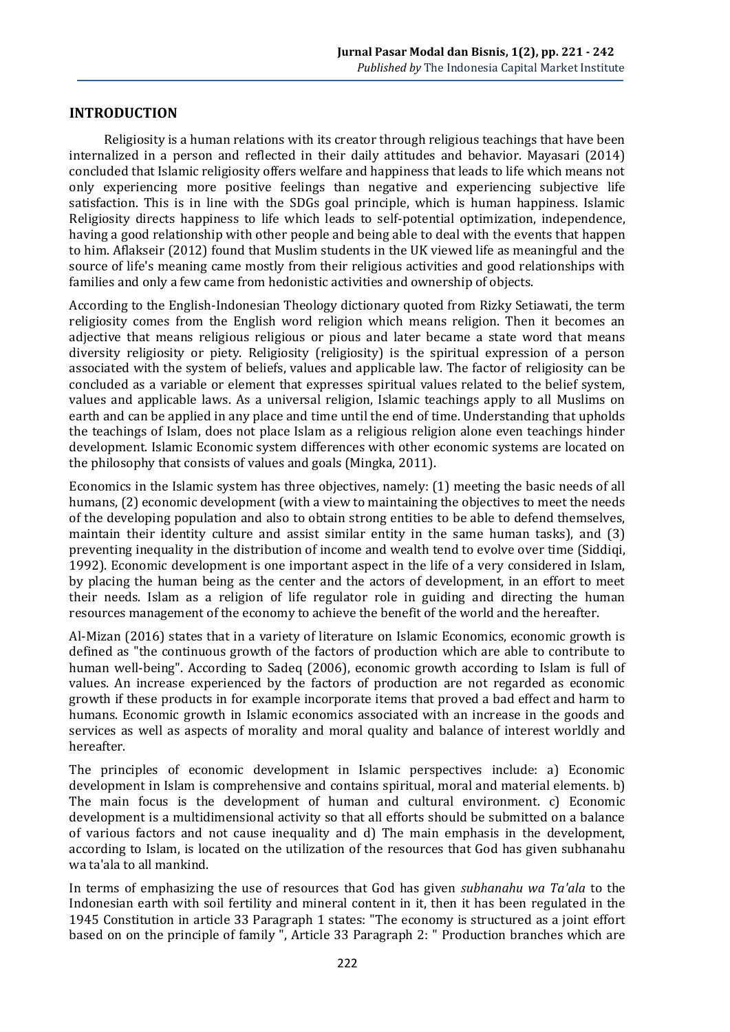#### **INTRODUCTION**

Religiosity is a human relations with its creator through religious teachings that have been internalized in a person and reflected in their daily attitudes and behavior. Mayasari (2014) concluded that Islamic religiosity offers welfare and happiness that leads to life which means not only experiencing more positive feelings than negative and experiencing subjective life satisfaction. This is in line with the SDGs goal principle, which is human happiness. Islamic Religiosity directs happiness to life which leads to self-potential optimization, independence, having a good relationship with other people and being able to deal with the events that happen to him. Aflakseir (2012) found that Muslim students in the UK viewed life as meaningful and the source of life's meaning came mostly from their religious activities and good relationships with families and only a few came from hedonistic activities and ownership of objects.

According to the English-Indonesian Theology dictionary quoted from Rizky Setiawati, the term religiosity comes from the English word religion which means religion. Then it becomes an adjective that means religious religious or pious and later became a state word that means diversity religiosity or piety. Religiosity (religiosity) is the spiritual expression of a person associated with the system of beliefs, values and applicable law. The factor of religiosity can be concluded as a variable or element that expresses spiritual values related to the belief system, values and applicable laws. As a universal religion, Islamic teachings apply to all Muslims on earth and can be applied in any place and time until the end of time. Understanding that upholds the teachings of Islam, does not place Islam as a religious religion alone even teachings hinder development. Islamic Economic system differences with other economic systems are located on the philosophy that consists of values and goals (Mingka, 2011).

Economics in the Islamic system has three objectives, namely: (1) meeting the basic needs of all humans, (2) economic development (with a view to maintaining the objectives to meet the needs of the developing population and also to obtain strong entities to be able to defend themselves, maintain their identity culture and assist similar entity in the same human tasks), and (3) preventing inequality in the distribution of income and wealth tend to evolve over time (Siddiqi, 1992). Economic development is one important aspect in the life of a very considered in Islam, by placing the human being as the center and the actors of development, in an effort to meet their needs. Islam as a religion of life regulator role in guiding and directing the human resources management of the economy to achieve the benefit of the world and the hereafter.

Al-Mizan (2016) states that in a variety of literature on Islamic Economics, economic growth is defined as "the continuous growth of the factors of production which are able to contribute to human well-being". According to Sadeq (2006), economic growth according to Islam is full of values. An increase experienced by the factors of production are not regarded as economic growth if these products in for example incorporate items that proved a bad effect and harm to humans. Economic growth in Islamic economics associated with an increase in the goods and services as well as aspects of morality and moral quality and balance of interest worldly and hereafter.

The principles of economic development in Islamic perspectives include: a) Economic development in Islam is comprehensive and contains spiritual, moral and material elements. b) The main focus is the development of human and cultural environment. c) Economic development is a multidimensional activity so that all efforts should be submitted on a balance of various factors and not cause inequality and d) The main emphasis in the development, according to Islam, is located on the utilization of the resources that God has given subhanahu wa ta'ala to all mankind.

In terms of emphasizing the use of resources that God has given *subhanahu wa Ta'ala* to the Indonesian earth with soil fertility and mineral content in it, then it has been regulated in the 1945 Constitution in article 33 Paragraph 1 states: "The economy is structured as a joint effort based on on the principle of family ", Article 33 Paragraph 2: " Production branches which are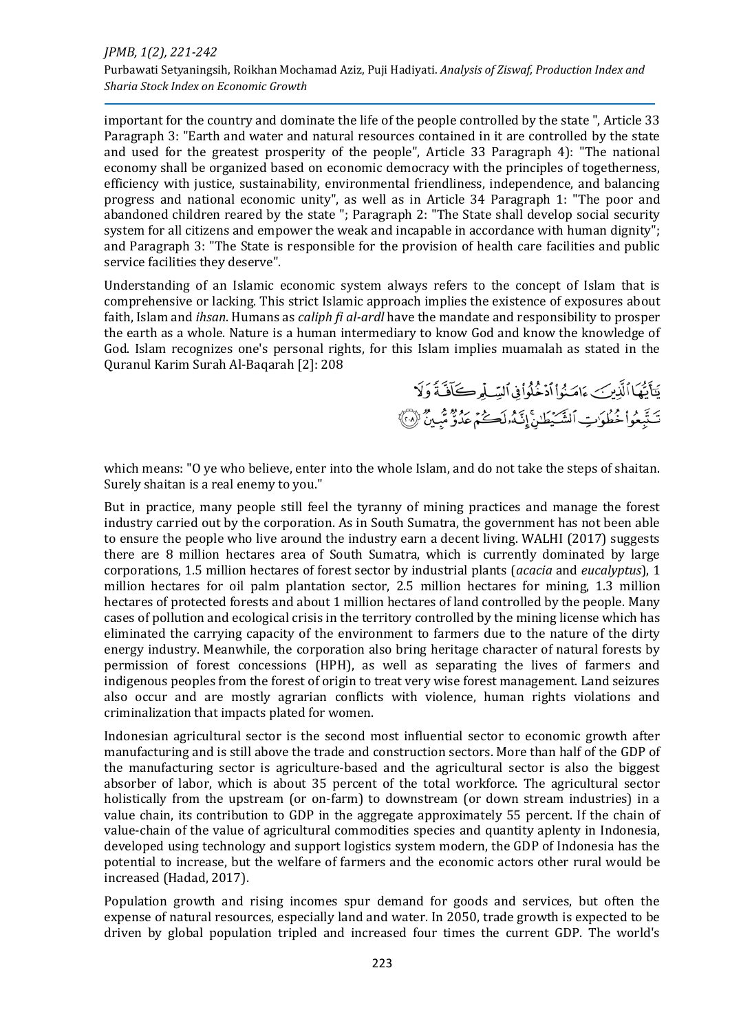important for the country and dominate the life of the people controlled by the state ", Article 33 Paragraph 3: "Earth and water and natural resources contained in it are controlled by the state and used for the greatest prosperity of the people", Article 33 Paragraph 4): "The national economy shall be organized based on economic democracy with the principles of togetherness, efficiency with justice, sustainability, environmental friendliness, independence, and balancing progress and national economic unity", as well as in Article 34 Paragraph 1: "The poor and abandoned children reared by the state "; Paragraph 2: "The State shall develop social security system for all citizens and empower the weak and incapable in accordance with human dignity"; and Paragraph 3: "The State is responsible for the provision of health care facilities and public service facilities they deserve".

Understanding of an Islamic economic system always refers to the concept of Islam that is comprehensive or lacking. This strict Islamic approach implies the existence of exposures about faith, Islam and *ihsan*. Humans as *caliph fi al-ardl* have the mandate and responsibility to prosper the earth as a whole. Nature is a human intermediary to know God and know the knowledge of God. Islam recognizes one's personal rights, for this Islam implies muamalah as stated in the Quranul Karim Surah Al-Baqarah [2]: 208

> يَتَأَيُّهَا ٱلَّذِينَ ءَامَنُواْ ٱدْخُلُواْ فِي ٱلسِّلْمِرْكَافَنَّةَ وَلَا تَتَّبِعُواْ خُطُوَبِّ ٱلشَّيْطَنِّ إِنَّهُ لَكُمْ عَدُوٌّ مُّبِينٌ ۚ (لَا أَ

which means: "O ye who believe, enter into the whole Islam, and do not take the steps of shaitan. Surely shaitan is a real enemy to you."

But in practice, many people still feel the tyranny of mining practices and manage the forest industry carried out by the corporation. As in South Sumatra, the government has not been able to ensure the people who live around the industry earn a decent living. WALHI (2017) suggests there are 8 million hectares area of South Sumatra, which is currently dominated by large corporations, 1.5 million hectares of forest sector by industrial plants (*acacia* and *eucalyptus*), 1 million hectares for oil palm plantation sector, 2.5 million hectares for mining, 1.3 million hectares of protected forests and about 1 million hectares of land controlled by the people. Many cases of pollution and ecological crisis in the territory controlled by the mining license which has eliminated the carrying capacity of the environment to farmers due to the nature of the dirty energy industry. Meanwhile, the corporation also bring heritage character of natural forests by permission of forest concessions (HPH), as well as separating the lives of farmers and indigenous peoples from the forest of origin to treat very wise forest management. Land seizures also occur and are mostly agrarian conflicts with violence, human rights violations and criminalization that impacts plated for women.

Indonesian agricultural sector is the second most influential sector to economic growth after manufacturing and is still above the trade and construction sectors. More than half of the GDP of the manufacturing sector is agriculture-based and the agricultural sector is also the biggest absorber of labor, which is about 35 percent of the total workforce. The agricultural sector holistically from the upstream (or on-farm) to downstream (or down stream industries) in a value chain, its contribution to GDP in the aggregate approximately 55 percent. If the chain of value-chain of the value of agricultural commodities species and quantity aplenty in Indonesia, developed using technology and support logistics system modern, the GDP of Indonesia has the potential to increase, but the welfare of farmers and the economic actors other rural would be increased (Hadad, 2017).

Population growth and rising incomes spur demand for goods and services, but often the expense of natural resources, especially land and water. In 2050, trade growth is expected to be driven by global population tripled and increased four times the current GDP. The world's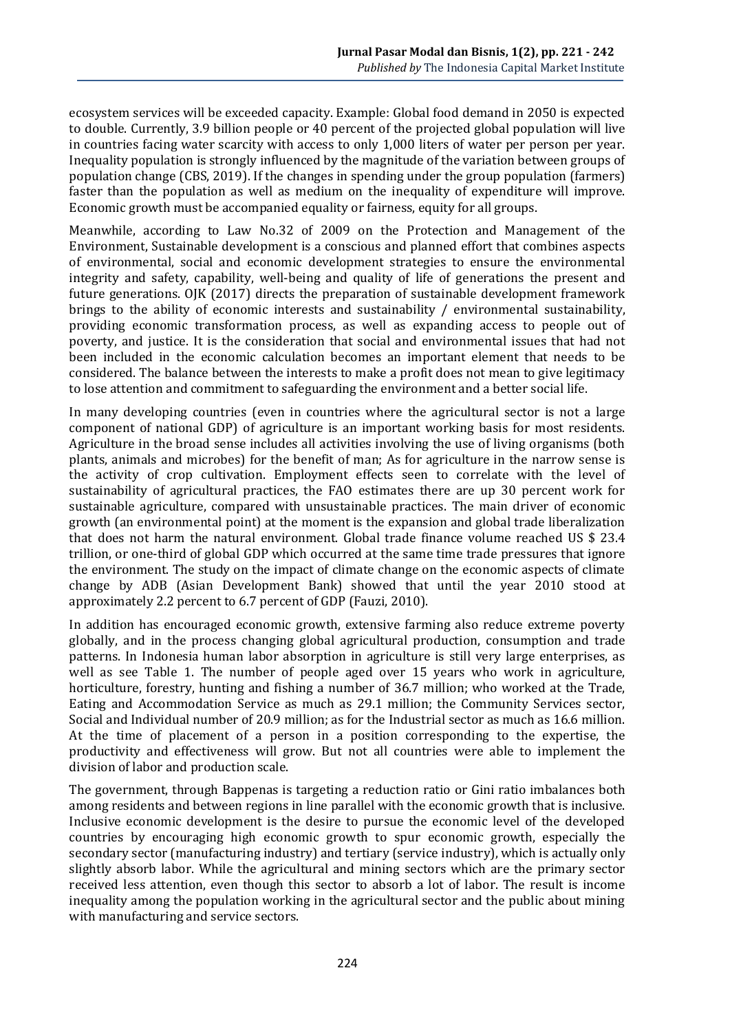ecosystem services will be exceeded capacity. Example: Global food demand in 2050 is expected to double. Currently, 3.9 billion people or 40 percent of the projected global population will live in countries facing water scarcity with access to only 1,000 liters of water per person per year. Inequality population is strongly influenced by the magnitude of the variation between groups of population change (CBS, 2019). If the changes in spending under the group population (farmers) faster than the population as well as medium on the inequality of expenditure will improve. Economic growth must be accompanied equality or fairness, equity for all groups.

Meanwhile, according to Law No.32 of 2009 on the Protection and Management of the Environment, Sustainable development is a conscious and planned effort that combines aspects of environmental, social and economic development strategies to ensure the environmental integrity and safety, capability, well-being and quality of life of generations the present and future generations. OJK (2017) directs the preparation of sustainable development framework brings to the ability of economic interests and sustainability / environmental sustainability, providing economic transformation process, as well as expanding access to people out of poverty, and justice. It is the consideration that social and environmental issues that had not been included in the economic calculation becomes an important element that needs to be considered. The balance between the interests to make a profit does not mean to give legitimacy to lose attention and commitment to safeguarding the environment and a better social life.

In many developing countries (even in countries where the agricultural sector is not a large component of national GDP) of agriculture is an important working basis for most residents. Agriculture in the broad sense includes all activities involving the use of living organisms (both plants, animals and microbes) for the benefit of man; As for agriculture in the narrow sense is the activity of crop cultivation. Employment effects seen to correlate with the level of sustainability of agricultural practices, the FAO estimates there are up 30 percent work for sustainable agriculture, compared with unsustainable practices. The main driver of economic growth (an environmental point) at the moment is the expansion and global trade liberalization that does not harm the natural environment. Global trade finance volume reached US \$ 23.4 trillion, or one-third of global GDP which occurred at the same time trade pressures that ignore the environment. The study on the impact of climate change on the economic aspects of climate change by ADB (Asian Development Bank) showed that until the year 2010 stood at approximately 2.2 percent to 6.7 percent of GDP (Fauzi, 2010).

In addition has encouraged economic growth, extensive farming also reduce extreme poverty globally, and in the process changing global agricultural production, consumption and trade patterns. In Indonesia human labor absorption in agriculture is still very large enterprises, as well as see Table 1. The number of people aged over 15 years who work in agriculture, horticulture, forestry, hunting and fishing a number of 36.7 million; who worked at the Trade, Eating and Accommodation Service as much as 29.1 million; the Community Services sector, Social and Individual number of 20.9 million; as for the Industrial sector as much as 16.6 million. At the time of placement of a person in a position corresponding to the expertise, the productivity and effectiveness will grow. But not all countries were able to implement the division of labor and production scale.

The government, through Bappenas is targeting a reduction ratio or Gini ratio imbalances both among residents and between regions in line parallel with the economic growth that is inclusive. Inclusive economic development is the desire to pursue the economic level of the developed countries by encouraging high economic growth to spur economic growth, especially the secondary sector (manufacturing industry) and tertiary (service industry), which is actually only slightly absorb labor. While the agricultural and mining sectors which are the primary sector received less attention, even though this sector to absorb a lot of labor. The result is income inequality among the population working in the agricultural sector and the public about mining with manufacturing and service sectors.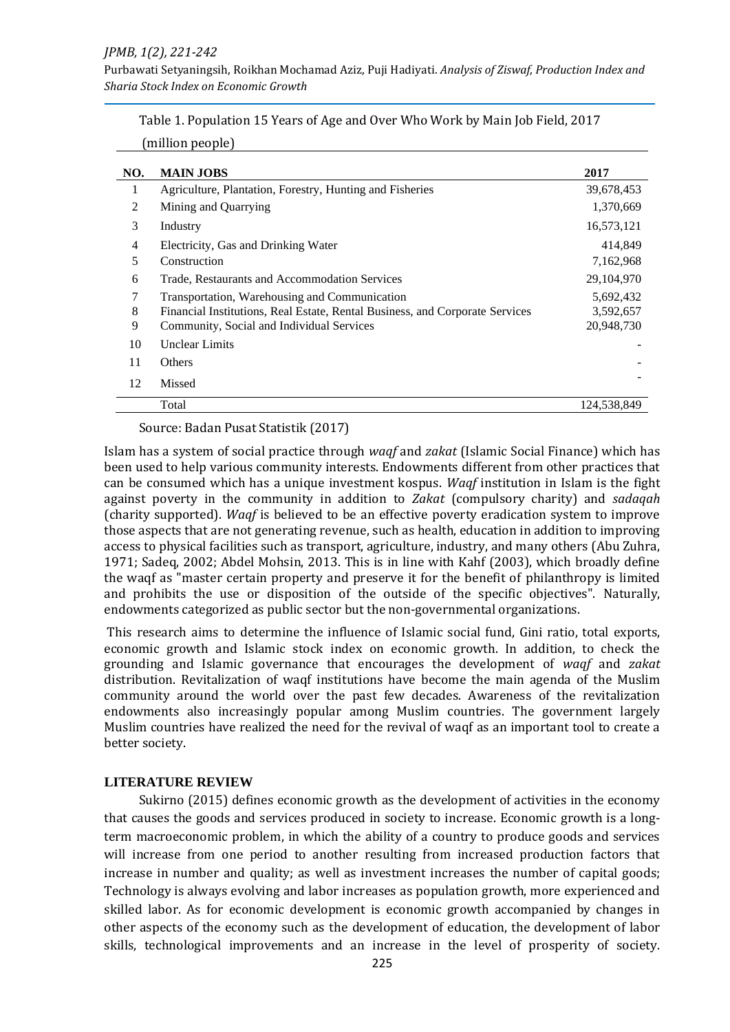Purbawati Setyaningsih, Roikhan Mochamad Aziz, Puji Hadiyati. *Analysis of Ziswaf, Production Index and Sharia Stock Index on Economic Growth*

|  |  | Table 1. Population 15 Years of Age and Over Who Work by Main Job Field, 2017 |
|--|--|-------------------------------------------------------------------------------|
|--|--|-------------------------------------------------------------------------------|

|  | (million people) |  |
|--|------------------|--|

| NO. | <b>MAIN JOBS</b>                                                             | 2017         |
|-----|------------------------------------------------------------------------------|--------------|
|     | Agriculture, Plantation, Forestry, Hunting and Fisheries                     | 39,678,453   |
| 2   | Mining and Quarrying                                                         | 1,370,669    |
| 3   | Industry                                                                     | 16,573,121   |
| 4   | Electricity, Gas and Drinking Water                                          | 414.849      |
| 5   | Construction                                                                 | 7,162,968    |
| 6   | Trade, Restaurants and Accommodation Services                                | 29, 104, 970 |
| 7   | Transportation, Warehousing and Communication                                | 5,692,432    |
| 8   | Financial Institutions, Real Estate, Rental Business, and Corporate Services | 3,592,657    |
| 9   | Community, Social and Individual Services                                    | 20,948,730   |
| 10  | Unclear Limits                                                               |              |
| 11  | Others                                                                       |              |
| 12  | Missed                                                                       |              |
|     | Total                                                                        | 124.538.849  |

Source: Badan Pusat Statistik (2017)

Islam has a system of social practice through *waqf* and *zakat* (Islamic Social Finance) which has been used to help various community interests. Endowments different from other practices that can be consumed which has a unique investment kospus. *Waqf* institution in Islam is the fight against poverty in the community in addition to *Zakat* (compulsory charity) and *sadaqah* (charity supported). *Waqf* is believed to be an effective poverty eradication system to improve those aspects that are not generating revenue, such as health, education in addition to improving access to physical facilities such as transport, agriculture, industry, and many others (Abu Zuhra, 1971; Sadeq, 2002; Abdel Mohsin, 2013. This is in line with Kahf (2003), which broadly define the waqf as "master certain property and preserve it for the benefit of philanthropy is limited and prohibits the use or disposition of the outside of the specific objectives". Naturally, endowments categorized as public sector but the non-governmental organizations.

This research aims to determine the influence of Islamic social fund, Gini ratio, total exports, economic growth and Islamic stock index on economic growth. In addition, to check the grounding and Islamic governance that encourages the development of *waqf* and *zakat* distribution. Revitalization of waqf institutions have become the main agenda of the Muslim community around the world over the past few decades. Awareness of the revitalization endowments also increasingly popular among Muslim countries. The government largely Muslim countries have realized the need for the revival of waqf as an important tool to create a better society.

#### **LITERATURE REVIEW**

Sukirno (2015) defines economic growth as the development of activities in the economy that causes the goods and services produced in society to increase. Economic growth is a longterm macroeconomic problem, in which the ability of a country to produce goods and services will increase from one period to another resulting from increased production factors that increase in number and quality; as well as investment increases the number of capital goods; Technology is always evolving and labor increases as population growth, more experienced and skilled labor. As for economic development is economic growth accompanied by changes in other aspects of the economy such as the development of education, the development of labor skills, technological improvements and an increase in the level of prosperity of society.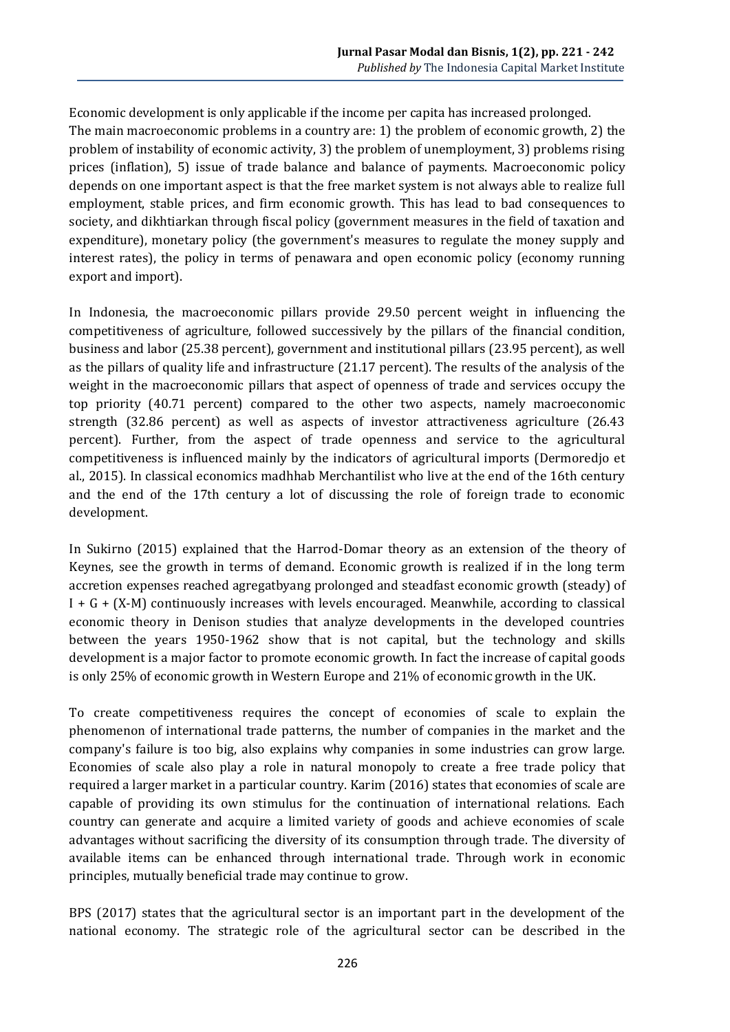Economic development is only applicable if the income per capita has increased prolonged. The main macroeconomic problems in a country are: 1) the problem of economic growth, 2) the problem of instability of economic activity, 3) the problem of unemployment, 3) problems rising prices (inflation), 5) issue of trade balance and balance of payments. Macroeconomic policy depends on one important aspect is that the free market system is not always able to realize full employment, stable prices, and firm economic growth. This has lead to bad consequences to society, and dikhtiarkan through fiscal policy (government measures in the field of taxation and expenditure), monetary policy (the government's measures to regulate the money supply and interest rates), the policy in terms of penawara and open economic policy (economy running export and import).

In Indonesia, the macroeconomic pillars provide 29.50 percent weight in influencing the competitiveness of agriculture, followed successively by the pillars of the financial condition, business and labor (25.38 percent), government and institutional pillars (23.95 percent), as well as the pillars of quality life and infrastructure (21.17 percent). The results of the analysis of the weight in the macroeconomic pillars that aspect of openness of trade and services occupy the top priority (40.71 percent) compared to the other two aspects, namely macroeconomic strength (32.86 percent) as well as aspects of investor attractiveness agriculture (26.43 percent). Further, from the aspect of trade openness and service to the agricultural competitiveness is influenced mainly by the indicators of agricultural imports (Dermoredjo et al., 2015). In classical economics madhhab Merchantilist who live at the end of the 16th century and the end of the 17th century a lot of discussing the role of foreign trade to economic development.

In Sukirno (2015) explained that the Harrod-Domar theory as an extension of the theory of Keynes, see the growth in terms of demand. Economic growth is realized if in the long term accretion expenses reached agregatbyang prolonged and steadfast economic growth (steady) of  $I + G + (X-M)$  continuously increases with levels encouraged. Meanwhile, according to classical economic theory in Denison studies that analyze developments in the developed countries between the years 1950-1962 show that is not capital, but the technology and skills development is a major factor to promote economic growth. In fact the increase of capital goods is only 25% of economic growth in Western Europe and 21% of economic growth in the UK.

To create competitiveness requires the concept of economies of scale to explain the phenomenon of international trade patterns, the number of companies in the market and the company's failure is too big, also explains why companies in some industries can grow large. Economies of scale also play a role in natural monopoly to create a free trade policy that required a larger market in a particular country. Karim (2016) states that economies of scale are capable of providing its own stimulus for the continuation of international relations. Each country can generate and acquire a limited variety of goods and achieve economies of scale advantages without sacrificing the diversity of its consumption through trade. The diversity of available items can be enhanced through international trade. Through work in economic principles, mutually beneficial trade may continue to grow.

BPS (2017) states that the agricultural sector is an important part in the development of the national economy. The strategic role of the agricultural sector can be described in the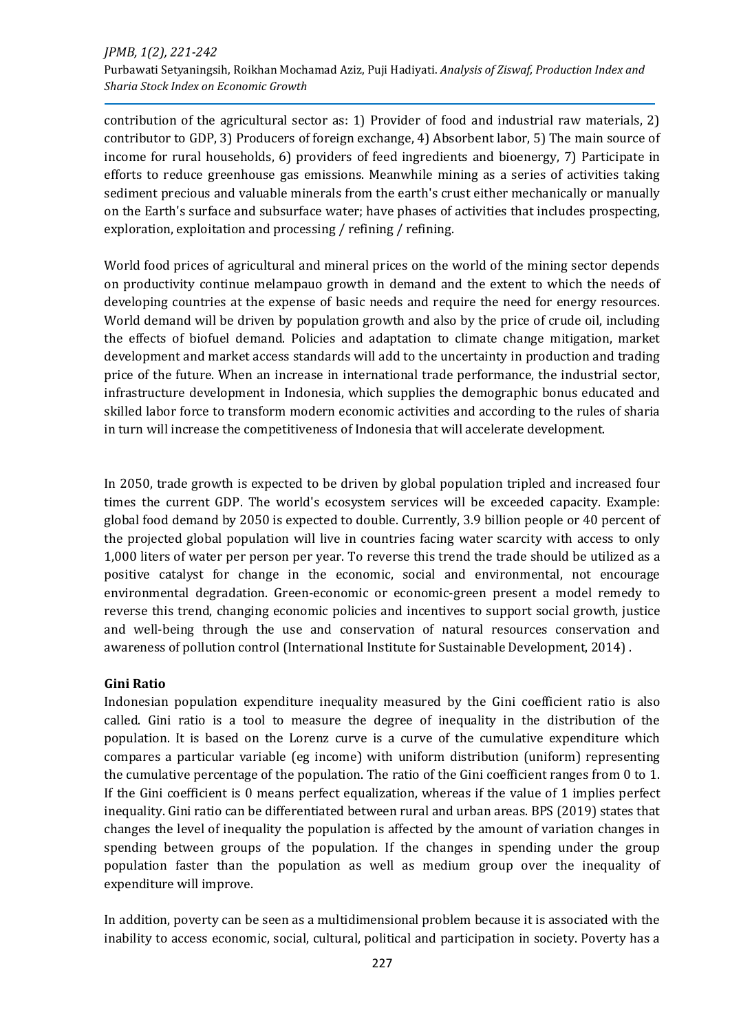contribution of the agricultural sector as: 1) Provider of food and industrial raw materials, 2) contributor to GDP, 3) Producers of foreign exchange, 4) Absorbent labor, 5) The main source of income for rural households, 6) providers of feed ingredients and bioenergy, 7) Participate in efforts to reduce greenhouse gas emissions. Meanwhile mining as a series of activities taking sediment precious and valuable minerals from the earth's crust either mechanically or manually on the Earth's surface and subsurface water; have phases of activities that includes prospecting, exploration, exploitation and processing / refining / refining.

World food prices of agricultural and mineral prices on the world of the mining sector depends on productivity continue melampauo growth in demand and the extent to which the needs of developing countries at the expense of basic needs and require the need for energy resources. World demand will be driven by population growth and also by the price of crude oil, including the effects of biofuel demand. Policies and adaptation to climate change mitigation, market development and market access standards will add to the uncertainty in production and trading price of the future. When an increase in international trade performance, the industrial sector, infrastructure development in Indonesia, which supplies the demographic bonus educated and skilled labor force to transform modern economic activities and according to the rules of sharia in turn will increase the competitiveness of Indonesia that will accelerate development.

In 2050, trade growth is expected to be driven by global population tripled and increased four times the current GDP. The world's ecosystem services will be exceeded capacity. Example: global food demand by 2050 is expected to double. Currently, 3.9 billion people or 40 percent of the projected global population will live in countries facing water scarcity with access to only 1,000 liters of water per person per year. To reverse this trend the trade should be utilized as a positive catalyst for change in the economic, social and environmental, not encourage environmental degradation. Green-economic or economic-green present a model remedy to reverse this trend, changing economic policies and incentives to support social growth, justice and well-being through the use and conservation of natural resources conservation and awareness of pollution control (International Institute for Sustainable Development, 2014) .

## **Gini Ratio**

Indonesian population expenditure inequality measured by the Gini coefficient ratio is also called. Gini ratio is a tool to measure the degree of inequality in the distribution of the population. It is based on the Lorenz curve is a curve of the cumulative expenditure which compares a particular variable (eg income) with uniform distribution (uniform) representing the cumulative percentage of the population. The ratio of the Gini coefficient ranges from 0 to 1. If the Gini coefficient is 0 means perfect equalization, whereas if the value of 1 implies perfect inequality. Gini ratio can be differentiated between rural and urban areas. BPS (2019) states that changes the level of inequality the population is affected by the amount of variation changes in spending between groups of the population. If the changes in spending under the group population faster than the population as well as medium group over the inequality of expenditure will improve.

In addition, poverty can be seen as a multidimensional problem because it is associated with the inability to access economic, social, cultural, political and participation in society. Poverty has a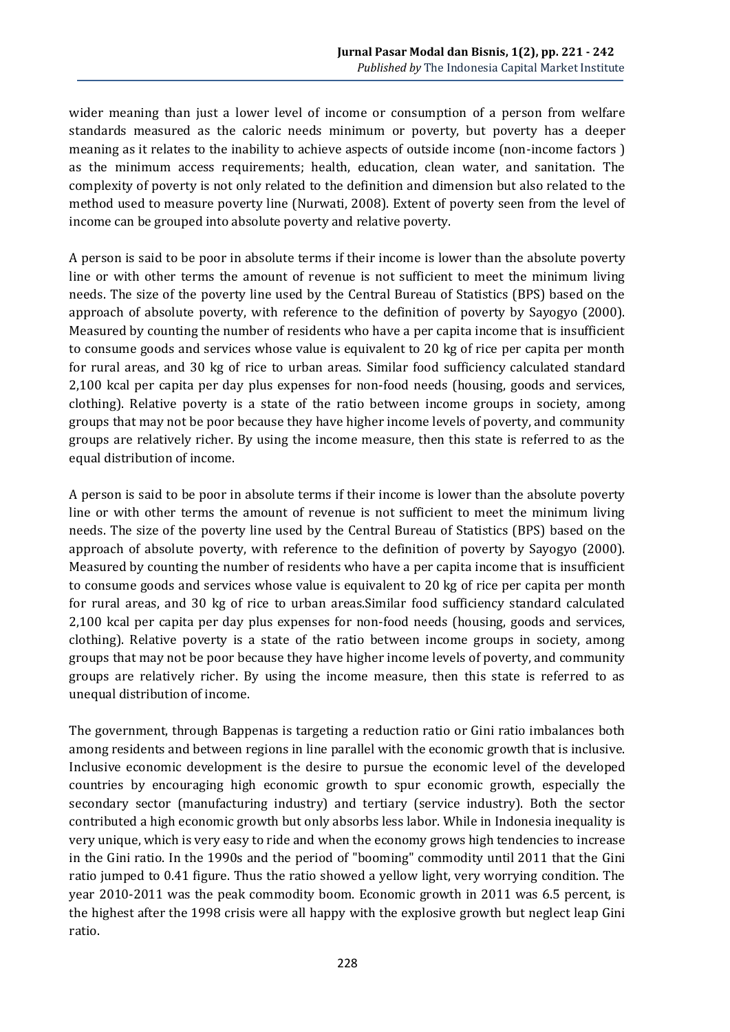wider meaning than just a lower level of income or consumption of a person from welfare standards measured as the caloric needs minimum or poverty, but poverty has a deeper meaning as it relates to the inability to achieve aspects of outside income (non-income factors ) as the minimum access requirements; health, education, clean water, and sanitation. The complexity of poverty is not only related to the definition and dimension but also related to the method used to measure poverty line (Nurwati, 2008). Extent of poverty seen from the level of income can be grouped into absolute poverty and relative poverty.

A person is said to be poor in absolute terms if their income is lower than the absolute poverty line or with other terms the amount of revenue is not sufficient to meet the minimum living needs. The size of the poverty line used by the Central Bureau of Statistics (BPS) based on the approach of absolute poverty, with reference to the definition of poverty by Sayogyo (2000). Measured by counting the number of residents who have a per capita income that is insufficient to consume goods and services whose value is equivalent to 20 kg of rice per capita per month for rural areas, and 30 kg of rice to urban areas. Similar food sufficiency calculated standard 2,100 kcal per capita per day plus expenses for non-food needs (housing, goods and services, clothing). Relative poverty is a state of the ratio between income groups in society, among groups that may not be poor because they have higher income levels of poverty, and community groups are relatively richer. By using the income measure, then this state is referred to as the equal distribution of income.

A person is said to be poor in absolute terms if their income is lower than the absolute poverty line or with other terms the amount of revenue is not sufficient to meet the minimum living needs. The size of the poverty line used by the Central Bureau of Statistics (BPS) based on the approach of absolute poverty, with reference to the definition of poverty by Sayogyo (2000). Measured by counting the number of residents who have a per capita income that is insufficient to consume goods and services whose value is equivalent to 20 kg of rice per capita per month for rural areas, and 30 kg of rice to urban areas.Similar food sufficiency standard calculated 2,100 kcal per capita per day plus expenses for non-food needs (housing, goods and services, clothing). Relative poverty is a state of the ratio between income groups in society, among groups that may not be poor because they have higher income levels of poverty, and community groups are relatively richer. By using the income measure, then this state is referred to as unequal distribution of income.

The government, through Bappenas is targeting a reduction ratio or Gini ratio imbalances both among residents and between regions in line parallel with the economic growth that is inclusive. Inclusive economic development is the desire to pursue the economic level of the developed countries by encouraging high economic growth to spur economic growth, especially the secondary sector (manufacturing industry) and tertiary (service industry). Both the sector contributed a high economic growth but only absorbs less labor. While in Indonesia inequality is very unique, which is very easy to ride and when the economy grows high tendencies to increase in the Gini ratio. In the 1990s and the period of "booming" commodity until 2011 that the Gini ratio jumped to 0.41 figure. Thus the ratio showed a yellow light, very worrying condition. The year 2010-2011 was the peak commodity boom. Economic growth in 2011 was 6.5 percent, is the highest after the 1998 crisis were all happy with the explosive growth but neglect leap Gini ratio.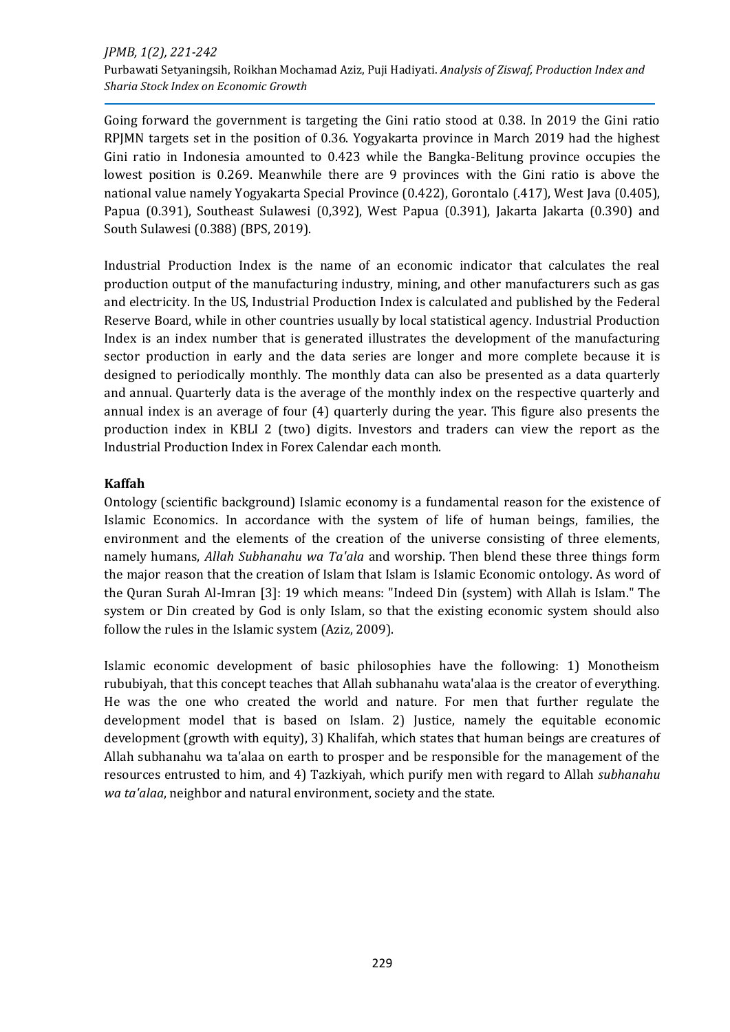Going forward the government is targeting the Gini ratio stood at 0.38. In 2019 the Gini ratio RPJMN targets set in the position of 0.36. Yogyakarta province in March 2019 had the highest Gini ratio in Indonesia amounted to 0.423 while the Bangka-Belitung province occupies the lowest position is 0.269. Meanwhile there are 9 provinces with the Gini ratio is above the national value namely Yogyakarta Special Province (0.422), Gorontalo (.417), West Java (0.405), Papua (0.391), Southeast Sulawesi (0,392), West Papua (0.391), Jakarta Jakarta (0.390) and South Sulawesi (0.388) (BPS, 2019).

Industrial Production Index is the name of an economic indicator that calculates the real production output of the manufacturing industry, mining, and other manufacturers such as gas and electricity. In the US, Industrial Production Index is calculated and published by the Federal Reserve Board, while in other countries usually by local statistical agency. Industrial Production Index is an index number that is generated illustrates the development of the manufacturing sector production in early and the data series are longer and more complete because it is designed to periodically monthly. The monthly data can also be presented as a data quarterly and annual. Quarterly data is the average of the monthly index on the respective quarterly and annual index is an average of four (4) quarterly during the year. This figure also presents the production index in KBLI 2 (two) digits. Investors and traders can view the report as the Industrial Production Index in Forex Calendar each month.

## **Kaffah**

Ontology (scientific background) Islamic economy is a fundamental reason for the existence of Islamic Economics. In accordance with the system of life of human beings, families, the environment and the elements of the creation of the universe consisting of three elements, namely humans, *Allah Subhanahu wa Ta'ala* and worship. Then blend these three things form the major reason that the creation of Islam that Islam is Islamic Economic ontology. As word of the Quran Surah Al-Imran [3]: 19 which means: "Indeed Din (system) with Allah is Islam." The system or Din created by God is only Islam, so that the existing economic system should also follow the rules in the Islamic system (Aziz, 2009).

Islamic economic development of basic philosophies have the following: 1) Monotheism rububiyah, that this concept teaches that Allah subhanahu wata'alaa is the creator of everything. He was the one who created the world and nature. For men that further regulate the development model that is based on Islam. 2) Justice, namely the equitable economic development (growth with equity), 3) Khalifah, which states that human beings are creatures of Allah subhanahu wa ta'alaa on earth to prosper and be responsible for the management of the resources entrusted to him, and 4) Tazkiyah, which purify men with regard to Allah *subhanahu wa ta'alaa*, neighbor and natural environment, society and the state.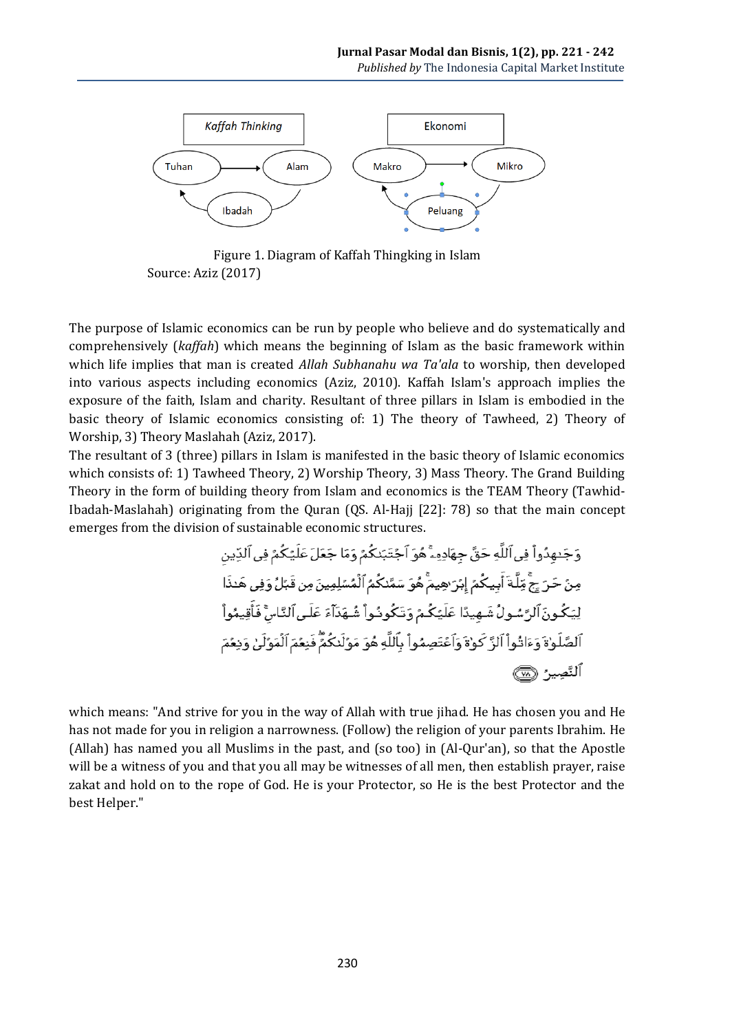

Figure 1. Diagram of Kaffah Thingking in Islam Source: Aziz (2017)

The purpose of Islamic economics can be run by people who believe and do systematically and comprehensively (*kaffah*) which means the beginning of Islam as the basic framework within which life implies that man is created *Allah Subhanahu wa Ta'ala* to worship, then developed into various aspects including economics (Aziz, 2010). Kaffah Islam's approach implies the exposure of the faith, Islam and charity. Resultant of three pillars in Islam is embodied in the basic theory of Islamic economics consisting of: 1) The theory of Tawheed, 2) Theory of Worship, 3) Theory Maslahah (Aziz, 2017).

The resultant of 3 (three) pillars in Islam is manifested in the basic theory of Islamic economics which consists of: 1) Tawheed Theory, 2) Worship Theory, 3) Mass Theory. The Grand Building Theory in the form of building theory from Islam and economics is the TEAM Theory (Tawhid-Ibadah-Maslahah) originating from the Quran (QS. Al-Hajj [22]: 78) so that the main concept emerges from the division of sustainable economic structures.

> وَجَنهِدُواْ فِي ٱللَّهِ حَقَّ جِهَادِهِۦٓۚ هُوَ ٱجۡتَبَنکُمۡ وَمَا جَعَلَ عَلَيۡکُمۡ فِي ٱلدِّينِ مِنَّ حَرَ جِجَّ مِّلَّةَ أَبِيكُمٌ إِبْرَ هِيمٌّ هُوَ سَمَّدْكُمُ ٱلْمُسْلِمِينَ مِن قَبَّلُ وَفِي هَدْا لِيَكُونَ ٱلرَّسُولُ شَـهيدًا عَلَيْكُـمٌ وَتَكُودُواْ شُـهَدَآءَ عَلَـىٱلنَّـاسَّ فَأَقِيمُواْ ٱلصَّلَوٰةَ وَءَاتُواْ ٱلزَّ كَوْةَ وَٱعْتَصِمُواْ بِٱللَّهِ هُوَ مَوَّلَنكُمَّ فَنِعُمَ ٱلْمَوَّلَىٰ وَنِعُمَ ٱلنَّصِيرُ ۞

which means: "And strive for you in the way of Allah with true jihad. He has chosen you and He has not made for you in religion a narrowness. (Follow) the religion of your parents Ibrahim. He (Allah) has named you all Muslims in the past, and (so too) in (Al-Qur'an), so that the Apostle will be a witness of you and that you all may be witnesses of all men, then establish prayer, raise zakat and hold on to the rope of God. He is your Protector, so He is the best Protector and the best Helper."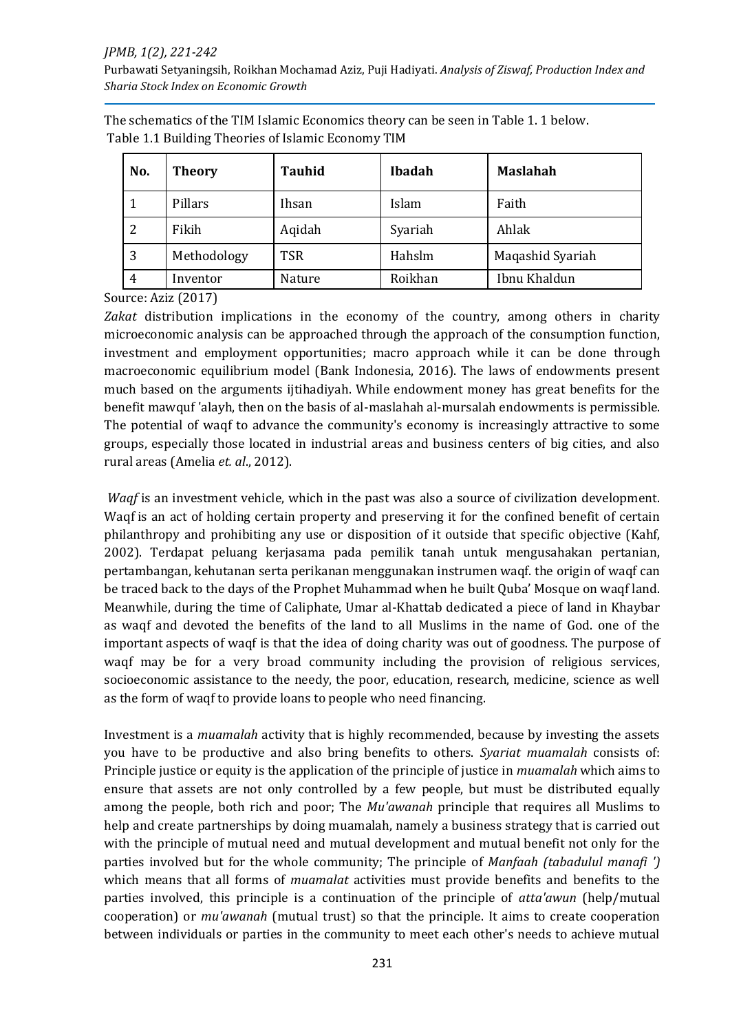#### *JPMB, 1(2), 221-242*

Purbawati Setyaningsih, Roikhan Mochamad Aziz, Puji Hadiyati. *Analysis of Ziswaf, Production Index and Sharia Stock Index on Economic Growth*

| No. | <b>Theory</b> | <b>Tauhid</b> | Ibadah  | <b>Maslahah</b>  |
|-----|---------------|---------------|---------|------------------|
|     | Pillars       | Ihsan         | Islam   | Faith            |
| 2   | Fikih         | Aqidah        | Syariah | Ahlak            |
| 3   | Methodology   | <b>TSR</b>    | Hahslm  | Maqashid Syariah |
| 4   | Inventor      | Nature        | Roikhan | Ibnu Khaldun     |

The schematics of the TIM Islamic Economics theory can be seen in Table 1. 1 below. Table 1.1 Building Theories of Islamic Economy TIM

Source: Aziz (2017)

*Zakat* distribution implications in the economy of the country, among others in charity microeconomic analysis can be approached through the approach of the consumption function, investment and employment opportunities; macro approach while it can be done through macroeconomic equilibrium model (Bank Indonesia, 2016). The laws of endowments present much based on the arguments ijtihadiyah. While endowment money has great benefits for the benefit mawquf 'alayh, then on the basis of al-maslahah al-mursalah endowments is permissible. The potential of waqf to advance the community's economy is increasingly attractive to some groups, especially those located in industrial areas and business centers of big cities, and also rural areas (Amelia *et. al*., 2012).

*Waqf* is an investment vehicle, which in the past was also a source of civilization development. Waqf is an act of holding certain property and preserving it for the confined benefit of certain philanthropy and prohibiting any use or disposition of it outside that specific objective (Kahf, 2002). Terdapat peluang kerjasama pada pemilik tanah untuk mengusahakan pertanian, pertambangan, kehutanan serta perikanan menggunakan instrumen waqf. the origin of waqf can be traced back to the days of the Prophet Muhammad when he built Quba' Mosque on waqf land. Meanwhile, during the time of Caliphate, Umar al-Khattab dedicated a piece of land in Khaybar as waqf and devoted the benefits of the land to all Muslims in the name of God. one of the important aspects of waqf is that the idea of doing charity was out of goodness. The purpose of waqf may be for a very broad community including the provision of religious services, socioeconomic assistance to the needy, the poor, education, research, medicine, science as well as the form of waqf to provide loans to people who need financing.

Investment is a *muamalah* activity that is highly recommended, because by investing the assets you have to be productive and also bring benefits to others. *Syariat muamalah* consists of: Principle justice or equity is the application of the principle of justice in *muamalah* which aims to ensure that assets are not only controlled by a few people, but must be distributed equally among the people, both rich and poor; The *Mu'awanah* principle that requires all Muslims to help and create partnerships by doing muamalah, namely a business strategy that is carried out with the principle of mutual need and mutual development and mutual benefit not only for the parties involved but for the whole community; The principle of *Manfaah (tabadulul manafi ')* which means that all forms of *muamalat* activities must provide benefits and benefits to the parties involved, this principle is a continuation of the principle of *atta'awun* (help/mutual cooperation) or *mu'awanah* (mutual trust) so that the principle. It aims to create cooperation between individuals or parties in the community to meet each other's needs to achieve mutual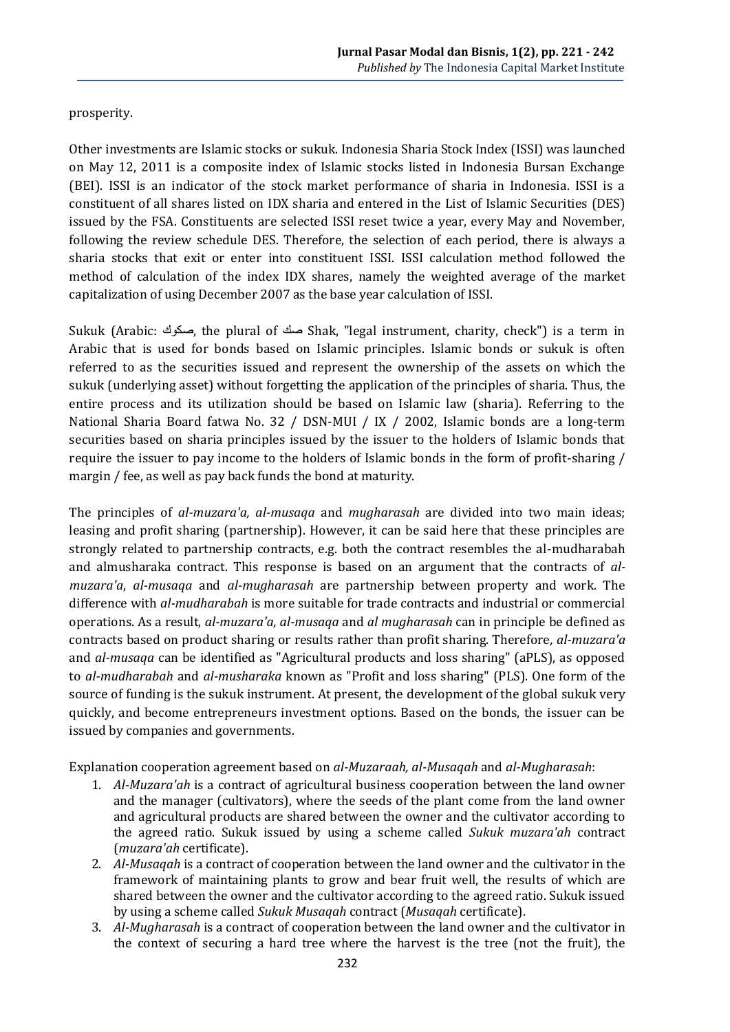## prosperity.

Other investments are Islamic stocks or sukuk. Indonesia Sharia Stock Index (ISSI) was launched on May 12, 2011 is a composite index of Islamic stocks listed in Indonesia Bursan Exchange (BEI). ISSI is an indicator of the stock market performance of sharia in Indonesia. ISSI is a constituent of all shares listed on IDX sharia and entered in the List of Islamic Securities (DES) issued by the FSA. Constituents are selected ISSI reset twice a year, every May and November, following the review schedule DES. Therefore, the selection of each period, there is always a sharia stocks that exit or enter into constituent ISSI. ISSI calculation method followed the method of calculation of the index IDX shares, namely the weighted average of the market capitalization of using December 2007 as the base year calculation of ISSI.

Sukuk (Arabic: صكوك, the plural of صك Shak, "legal instrument, charity, check") is a term in Arabic that is used for bonds based on Islamic principles. Islamic bonds or sukuk is often referred to as the securities issued and represent the ownership of the assets on which the sukuk (underlying asset) without forgetting the application of the principles of sharia. Thus, the entire process and its utilization should be based on Islamic law (sharia). Referring to the National Sharia Board fatwa No. 32 / DSN-MUI / IX / 2002, Islamic bonds are a long-term securities based on sharia principles issued by the issuer to the holders of Islamic bonds that require the issuer to pay income to the holders of Islamic bonds in the form of profit-sharing / margin / fee, as well as pay back funds the bond at maturity.

The principles of *al-muzara'a, al-musaqa* and *mugharasah* are divided into two main ideas; leasing and profit sharing (partnership). However, it can be said here that these principles are strongly related to partnership contracts, e.g. both the contract resembles the al-mudharabah and almusharaka contract. This response is based on an argument that the contracts of *almuzara'a*, *al-musaqa* and *al-mugharasah* are partnership between property and work. The difference with *al-mudharabah* is more suitable for trade contracts and industrial or commercial operations. As a result, *al-muzara'a, al-musaqa* and *al mugharasah* can in principle be defined as contracts based on product sharing or results rather than profit sharing. Therefore*, al-muzara'a* and *al-musaqa* can be identified as "Agricultural products and loss sharing" (aPLS), as opposed to *al-mudharabah* and *al-musharaka* known as "Profit and loss sharing" (PLS). One form of the source of funding is the sukuk instrument. At present, the development of the global sukuk very quickly, and become entrepreneurs investment options. Based on the bonds, the issuer can be issued by companies and governments.

Explanation cooperation agreement based on *al-Muzaraah, al-Musaqah* and *al-Mugharasah*:

- 1. *Al-Muzara'ah* is a contract of agricultural business cooperation between the land owner and the manager (cultivators), where the seeds of the plant come from the land owner and agricultural products are shared between the owner and the cultivator according to the agreed ratio. Sukuk issued by using a scheme called *Sukuk muzara'ah* contract (*muzara'ah* certificate).
- 2. *Al-Musaqah* is a contract of cooperation between the land owner and the cultivator in the framework of maintaining plants to grow and bear fruit well, the results of which are shared between the owner and the cultivator according to the agreed ratio. Sukuk issued by using a scheme called *Sukuk Musaqah* contract (*Musaqah* certificate).
- 3. *Al-Mugharasah* is a contract of cooperation between the land owner and the cultivator in the context of securing a hard tree where the harvest is the tree (not the fruit), the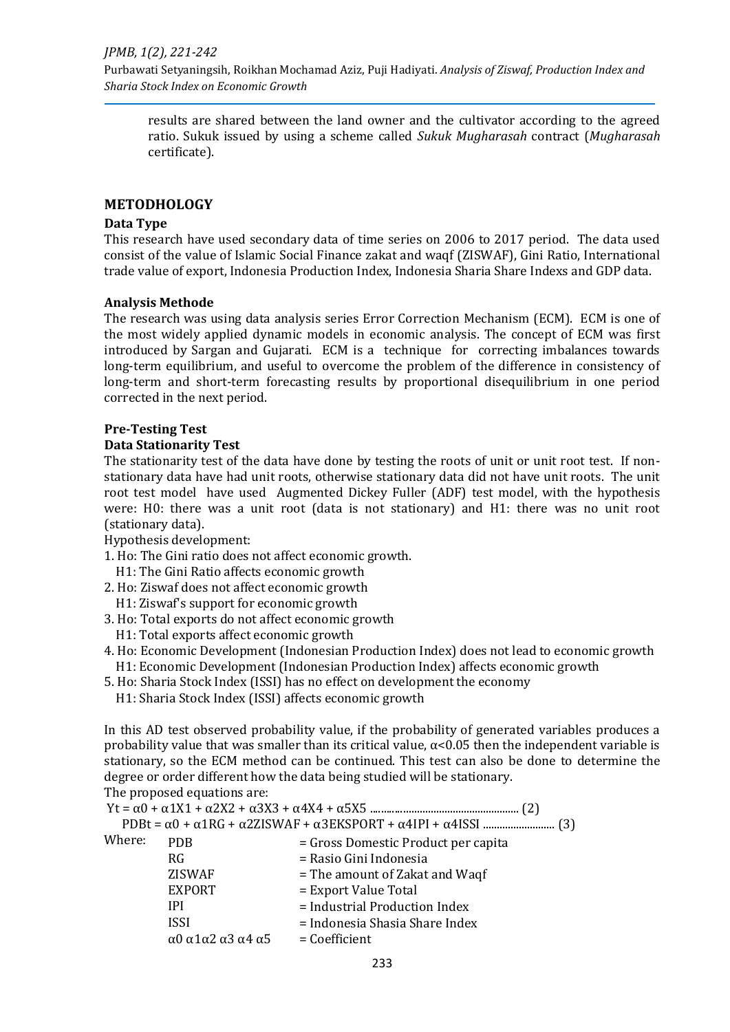Purbawati Setyaningsih, Roikhan Mochamad Aziz, Puji Hadiyati. *Analysis of Ziswaf, Production Index and Sharia Stock Index on Economic Growth*

results are shared between the land owner and the cultivator according to the agreed ratio. Sukuk issued by using a scheme called *Sukuk Mugharasah* contract (*Mugharasah*  certificate).

### **METODHOLOGY**

#### **Data Type**

This research have used secondary data of time series on 2006 to 2017 period. The data used consist of the value of Islamic Social Finance zakat and waqf (ZISWAF), Gini Ratio, International trade value of export, Indonesia Production Index, Indonesia Sharia Share Indexs and GDP data.

#### **Analysis Methode**

The research was using data analysis series Error Correction Mechanism (ECM). ECM is one of the most widely applied dynamic models in economic analysis. The concept of ECM was first introduced by Sargan and Gujarati. ECM is a technique for correcting imbalances towards long-term equilibrium, and useful to overcome the problem of the difference in consistency of long-term and short-term forecasting results by proportional disequilibrium in one period corrected in the next period.

#### **Pre-Testing Test**

#### **Data Stationarity Test**

The stationarity test of the data have done by testing the roots of unit or unit root test. If nonstationary data have had unit roots, otherwise stationary data did not have unit roots. The unit root test model have used Augmented Dickey Fuller (ADF) test model, with the hypothesis were: H0: there was a unit root (data is not stationary) and H1: there was no unit root (stationary data).

Hypothesis development:

- 1. Ho: The Gini ratio does not affect economic growth.
- H1: The Gini Ratio affects economic growth
- 2. Ho: Ziswaf does not affect economic growth
- H1: Ziswaf's support for economic growth
- 3. Ho: Total exports do not affect economic growth
- H1: Total exports affect economic growth
- 4. Ho: Economic Development (Indonesian Production Index) does not lead to economic growth H1: Economic Development (Indonesian Production Index) affects economic growth
- 5. Ho: Sharia Stock Index (ISSI) has no effect on development the economy
	- H1: Sharia Stock Index (ISSI) affects economic growth

In this AD test observed probability value, if the probability of generated variables produces a probability value that was smaller than its critical value,  $\alpha$ <0.05 then the independent variable is stationary, so the ECM method can be continued. This test can also be done to determine the degree or order different how the data being studied will be stationary.

The proposed equations are:

Yt = α0 + α1X1 + α2X2 + α3X3 + α4X4 + α5X5 ...................................................... (2) PDBt = α0 + α1RG + α2ZISWAF + α3EKSPORT + α4IPI + α4ISSI .......................... (3) Where:  $PDB$  = Gross Domestic Product per capita RG = Rasio Gini Indonesia  $ZISWAF$  = The amount of Zakat and Waqf EXPORT = Export Value Total IPI = Industrial Production Index ISSI = Indonesia Shasia Share Index α0 α1α2 α3 α4 α5 = Coefficient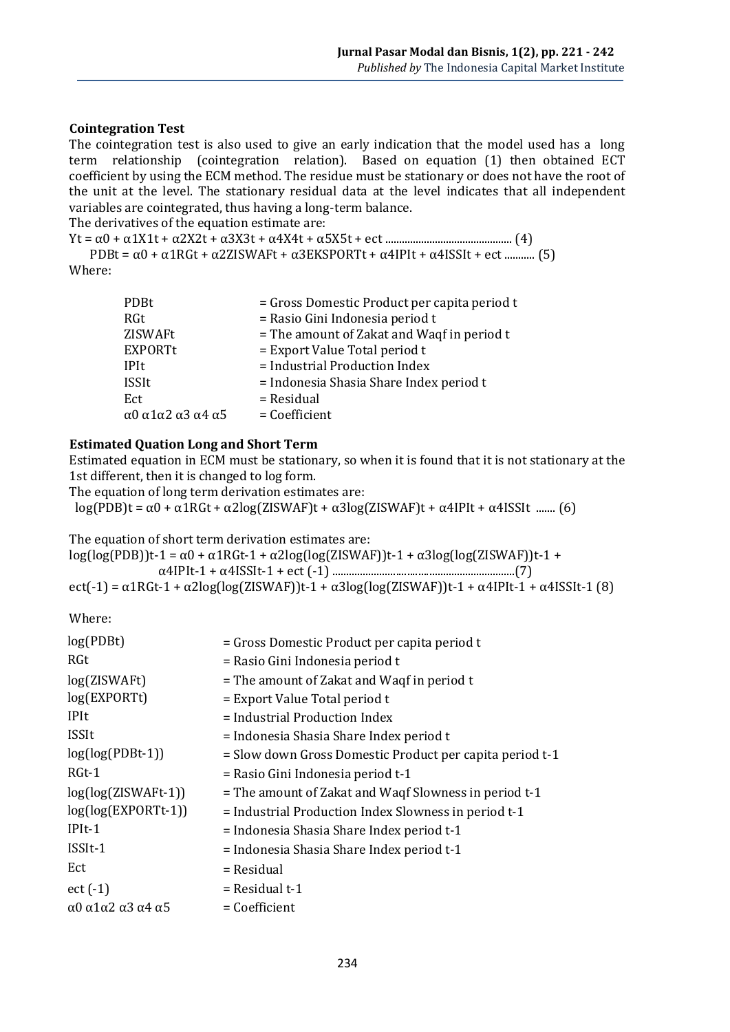#### **Cointegration Test**

The cointegration test is also used to give an early indication that the model used has a long term relationship (cointegration relation). Based on equation (1) then obtained ECT coefficient by using the ECM method. The residue must be stationary or does not have the root of the unit at the level. The stationary residual data at the level indicates that all independent variables are cointegrated, thus having a long-term balance.

The derivatives of the equation estimate are:

Yt = α0 + α1X1t + α2X2t + α3X3t + α4X4t + α5X5t + ect .............................................. (4) PDBt =  $\alpha$ 0 +  $\alpha$ 1RGt +  $\alpha$ 2ZISWAFt +  $\alpha$ 3EKSPORTt +  $\alpha$ 4IPIt +  $\alpha$ 4ISSIt + ect ............ (5) Where:

| = Gross Domestic Product per capita period t |
|----------------------------------------------|
| = Rasio Gini Indonesia period t              |
| = The amount of Zakat and Waqf in period t   |
| $=$ Export Value Total period t              |
| = Industrial Production Index                |
| = Indonesia Shasia Share Index period t      |
| $=$ Residual                                 |
| $= Coefficient$                              |
|                                              |

#### **Estimated Quation Long and Short Term**

Estimated equation in ECM must be stationary, so when it is found that it is not stationary at the 1st different, then it is changed to log form.

The equation of long term derivation estimates are:

log(PDB)t = α0 + α1RGt + α2log(ZISWAF)t + α3log(ZISWAF)t + α4IPIt + α4ISSIt ....... (6)

The equation of short term derivation estimates are:

log(log(PDB))t-1 = α0 + α1RGt-1 + α2log(log(ZISWAF))t-1 + α3log(log(ZISWAF))t-1 + α4IPIt-1 + α4ISSIt-1 + ect (-1) ..................................................................(7) ect(-1) =  $\alpha$ 1RGt-1 +  $\alpha$ 2log(log(ZISWAF))t-1 +  $\alpha$ 3log(log(ZISWAF))t-1 +  $\alpha$ 4IPIt-1 +  $\alpha$ 4ISSIt-1 (8)

Where:

| log(PDBt)             | = Gross Domestic Product per capita period t             |
|-----------------------|----------------------------------------------------------|
| RGt                   | = Rasio Gini Indonesia period t                          |
| log(ZISWAFt)          | $=$ The amount of Zakat and Waqf in period t             |
| log(EXPORTt)          | $=$ Export Value Total period t                          |
| <b>IPIt</b>           | $=$ Industrial Production Index                          |
| ISSIt                 | = Indonesia Shasia Share Index period t                  |
| $log(log(PDBt-1))$    | = Slow down Gross Domestic Product per capita period t-1 |
| $RGt-1$               | = Rasio Gini Indonesia period t-1                        |
| $log(log(ZISWAFt-1))$ | = The amount of Zakat and Waqf Slowness in period t-1    |
| log(log(EXPORTt-1))   | = Industrial Production Index Slowness in period t-1     |
| $IPIt-1$              | = Indonesia Shasia Share Index period t-1                |
| ISSIt-1               | = Indonesia Shasia Share Index period t-1                |
| Ect                   | = Residual                                               |
| $ect (-1)$            | $=$ Residual t-1                                         |
| α0 α1α2 α3 α4 α5      | $= Coefficient$                                          |
|                       |                                                          |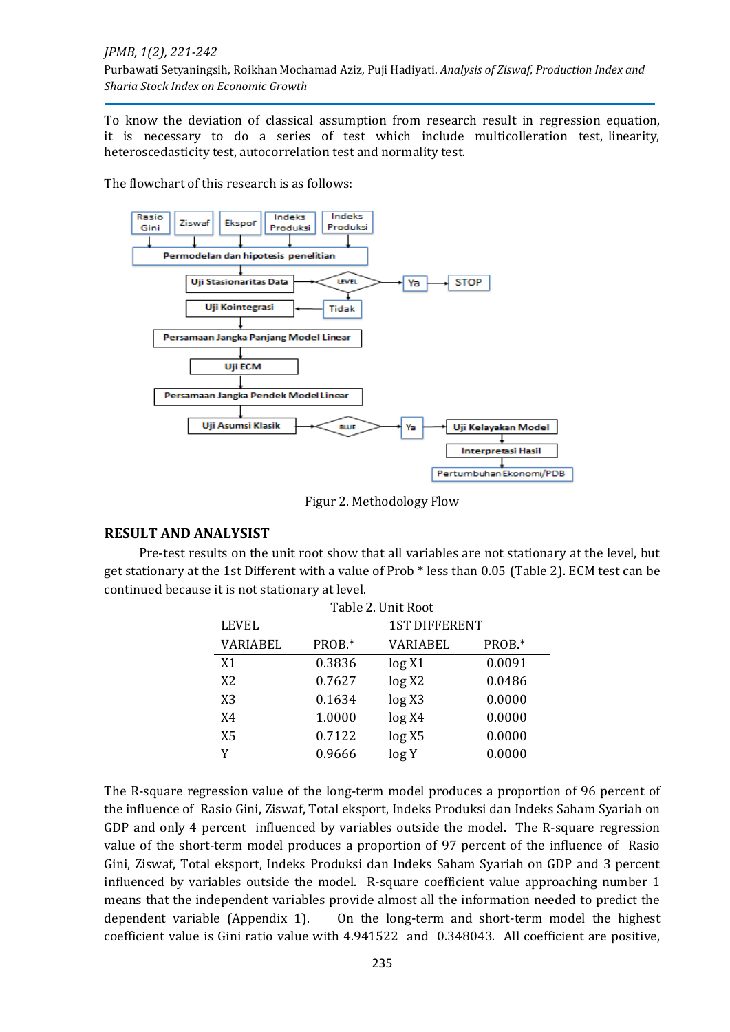#### *JPMB, 1(2), 221-242*

Purbawati Setyaningsih, Roikhan Mochamad Aziz, Puji Hadiyati. *Analysis of Ziswaf, Production Index and Sharia Stock Index on Economic Growth*

To know the deviation of classical assumption from research result in regression equation, it is necessary to do a series of test which include multicolleration test, linearity, heteroscedasticity test, autocorrelation test and normality test.

The flowchart of this research is as follows:



Figur 2. Methodology Flow

## **RESULT AND ANALYSIST**

Pre-test results on the unit root show that all variables are not stationary at the level, but get stationary at the 1st Different with a value of Prob \* less than 0.05 (Table 2). ECM test can be continued because it is not stationary at level.

| Table 2. Unit Root |                      |          |        |
|--------------------|----------------------|----------|--------|
| <b>LEVEL</b>       | <b>1ST DIFFERENT</b> |          |        |
| <b>VARIABEL</b>    | PROB.*               | VARIABEL | PROB.* |
| X1                 | 0.3836               | log X1   | 0.0091 |
| X <sub>2</sub>     | 0.7627               | log X2   | 0.0486 |
| X <sub>3</sub>     | 0.1634               | log X3   | 0.0000 |
| X4                 | 1.0000               | log X4   | 0.0000 |
| X5                 | 0.7122               | log X5   | 0.0000 |
|                    | 0.9666               | log Y    | 0.0000 |

The R-square regression value of the long-term model produces a proportion of 96 percent of the influence of Rasio Gini, Ziswaf, Total eksport, Indeks Produksi dan Indeks Saham Syariah on GDP and only 4 percent influenced by variables outside the model. The R-square regression value of the short-term model produces a proportion of 97 percent of the influence of Rasio Gini, Ziswaf, Total eksport, Indeks Produksi dan Indeks Saham Syariah on GDP and 3 percent influenced by variables outside the model. R-square coefficient value approaching number 1 means that the independent variables provide almost all the information needed to predict the dependent variable (Appendix 1). On the long-term and short-term model the highest coefficient value is Gini ratio value with 4.941522 and 0.348043. All coefficient are positive,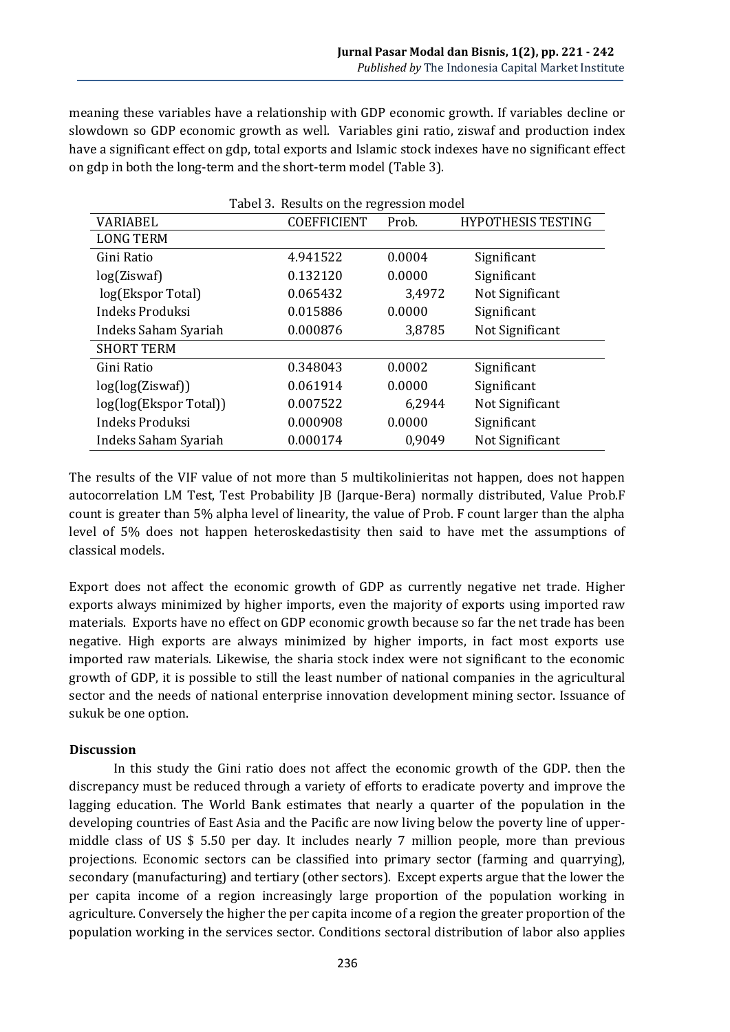meaning these variables have a relationship with GDP economic growth. If variables decline or slowdown so GDP economic growth as well. Variables gini ratio, ziswaf and production index have a significant effect on gdp, total exports and Islamic stock indexes have no significant effect on gdp in both the long-term and the short-term model (Table 3).

| Tabel 3. Results on the regression model |                    |        |                           |  |
|------------------------------------------|--------------------|--------|---------------------------|--|
| <b>VARIABEL</b>                          | <b>COEFFICIENT</b> | Prob.  | <b>HYPOTHESIS TESTING</b> |  |
| <b>LONG TERM</b>                         |                    |        |                           |  |
| Gini Ratio                               | 4.941522           | 0.0004 | Significant               |  |
| log(Ziswaf)                              | 0.132120           | 0.0000 | Significant               |  |
| log(Ekspor Total)                        | 0.065432           | 3,4972 | Not Significant           |  |
| Indeks Produksi                          | 0.015886           | 0.0000 | Significant               |  |
| Indeks Saham Syariah                     | 0.000876           | 3,8785 | Not Significant           |  |
| <b>SHORT TERM</b>                        |                    |        |                           |  |
| Gini Ratio                               | 0.348043           | 0.0002 | Significant               |  |
| log(log(Ziswaf))                         | 0.061914           | 0.0000 | Significant               |  |
| log(log(Ekspor Total))                   | 0.007522           | 6,2944 | Not Significant           |  |
| Indeks Produksi                          | 0.000908           | 0.0000 | Significant               |  |
| Indeks Saham Syariah                     | 0.000174           | 0,9049 | Not Significant           |  |

The results of the VIF value of not more than 5 multikolinieritas not happen, does not happen autocorrelation LM Test, Test Probability JB (Jarque-Bera) normally distributed, Value Prob.F count is greater than 5% alpha level of linearity, the value of Prob. F count larger than the alpha level of 5% does not happen heteroskedastisity then said to have met the assumptions of classical models.

Export does not affect the economic growth of GDP as currently negative net trade. Higher exports always minimized by higher imports, even the majority of exports using imported raw materials. Exports have no effect on GDP economic growth because so far the net trade has been negative. High exports are always minimized by higher imports, in fact most exports use imported raw materials. Likewise, the sharia stock index were not significant to the economic growth of GDP, it is possible to still the least number of national companies in the agricultural sector and the needs of national enterprise innovation development mining sector. Issuance of sukuk be one option.

#### **Discussion**

In this study the Gini ratio does not affect the economic growth of the GDP. then the discrepancy must be reduced through a variety of efforts to eradicate poverty and improve the lagging education. The World Bank estimates that nearly a quarter of the population in the developing countries of East Asia and the Pacific are now living below the poverty line of uppermiddle class of US \$ 5.50 per day. It includes nearly 7 million people, more than previous projections. Economic sectors can be classified into primary sector (farming and quarrying), secondary (manufacturing) and tertiary (other sectors). Except experts argue that the lower the per capita income of a region increasingly large proportion of the population working in agriculture. Conversely the higher the per capita income of a region the greater proportion of the population working in the services sector. Conditions sectoral distribution of labor also applies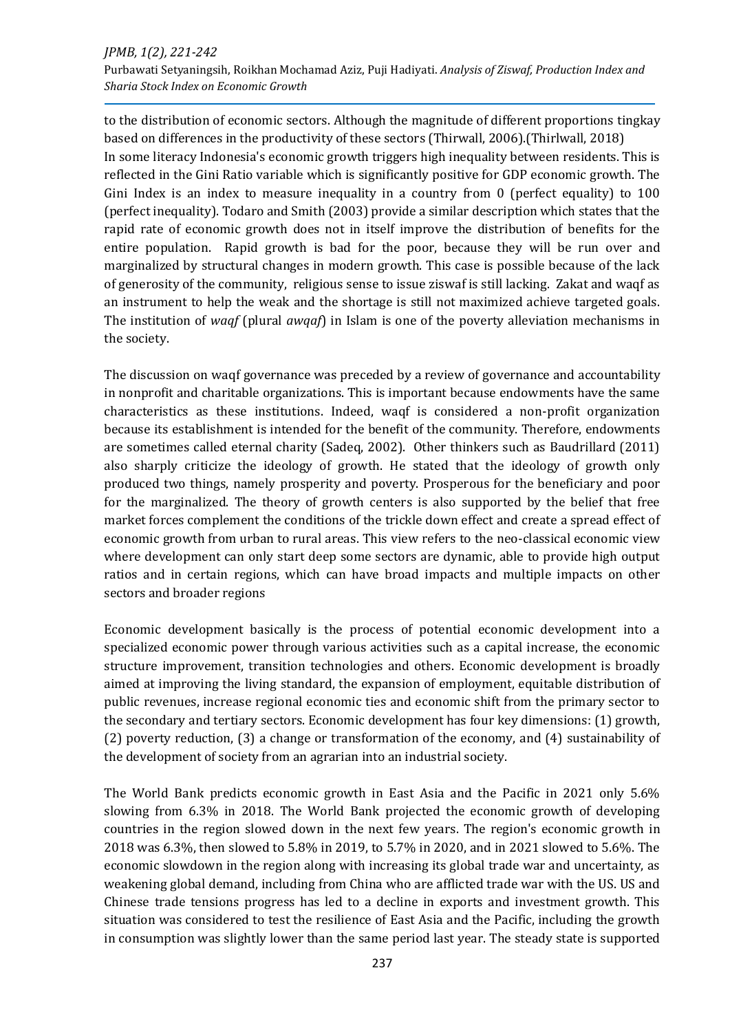#### *JPMB, 1(2), 221-242* Purbawati Setyaningsih, Roikhan Mochamad Aziz, Puji Hadiyati. *Analysis of Ziswaf, Production Index and Sharia Stock Index on Economic Growth*

to the distribution of economic sectors. Although the magnitude of different proportions tingkay based on differences in the productivity of these sectors (Thirwall, 2006).(Thirlwall, 2018) In some literacy Indonesia's economic growth triggers high inequality between residents. This is reflected in the Gini Ratio variable which is significantly positive for GDP economic growth. The Gini Index is an index to measure inequality in a country from 0 (perfect equality) to 100 (perfect inequality). Todaro and Smith (2003) provide a similar description which states that the rapid rate of economic growth does not in itself improve the distribution of benefits for the entire population. Rapid growth is bad for the poor, because they will be run over and marginalized by structural changes in modern growth. This case is possible because of the lack of generosity of the community, religious sense to issue ziswaf is still lacking. Zakat and waqf as an instrument to help the weak and the shortage is still not maximized achieve targeted goals. The institution of *waqf* (plural *awqaf*) in Islam is one of the poverty alleviation mechanisms in the society.

The discussion on waqf governance was preceded by a review of governance and accountability in nonprofit and charitable organizations. This is important because endowments have the same characteristics as these institutions. Indeed, waqf is considered a non-profit organization because its establishment is intended for the benefit of the community. Therefore, endowments are sometimes called eternal charity (Sadeq, 2002). Other thinkers such as Baudrillard (2011) also sharply criticize the ideology of growth. He stated that the ideology of growth only produced two things, namely prosperity and poverty. Prosperous for the beneficiary and poor for the marginalized. The theory of growth centers is also supported by the belief that free market forces complement the conditions of the trickle down effect and create a spread effect of economic growth from urban to rural areas. This view refers to the neo-classical economic view where development can only start deep some sectors are dynamic, able to provide high output ratios and in certain regions, which can have broad impacts and multiple impacts on other sectors and broader regions

Economic development basically is the process of potential economic development into a specialized economic power through various activities such as a capital increase, the economic structure improvement, transition technologies and others. Economic development is broadly aimed at improving the living standard, the expansion of employment, equitable distribution of public revenues, increase regional economic ties and economic shift from the primary sector to the secondary and tertiary sectors. Economic development has four key dimensions: (1) growth, (2) poverty reduction, (3) a change or transformation of the economy, and (4) sustainability of the development of society from an agrarian into an industrial society.

The World Bank predicts economic growth in East Asia and the Pacific in 2021 only 5.6% slowing from 6.3% in 2018. The World Bank projected the economic growth of developing countries in the region slowed down in the next few years. The region's economic growth in 2018 was 6.3%, then slowed to 5.8% in 2019, to 5.7% in 2020, and in 2021 slowed to 5.6%. The economic slowdown in the region along with increasing its global trade war and uncertainty, as weakening global demand, including from China who are afflicted trade war with the US. US and Chinese trade tensions progress has led to a decline in exports and investment growth. This situation was considered to test the resilience of East Asia and the Pacific, including the growth in consumption was slightly lower than the same period last year. The steady state is supported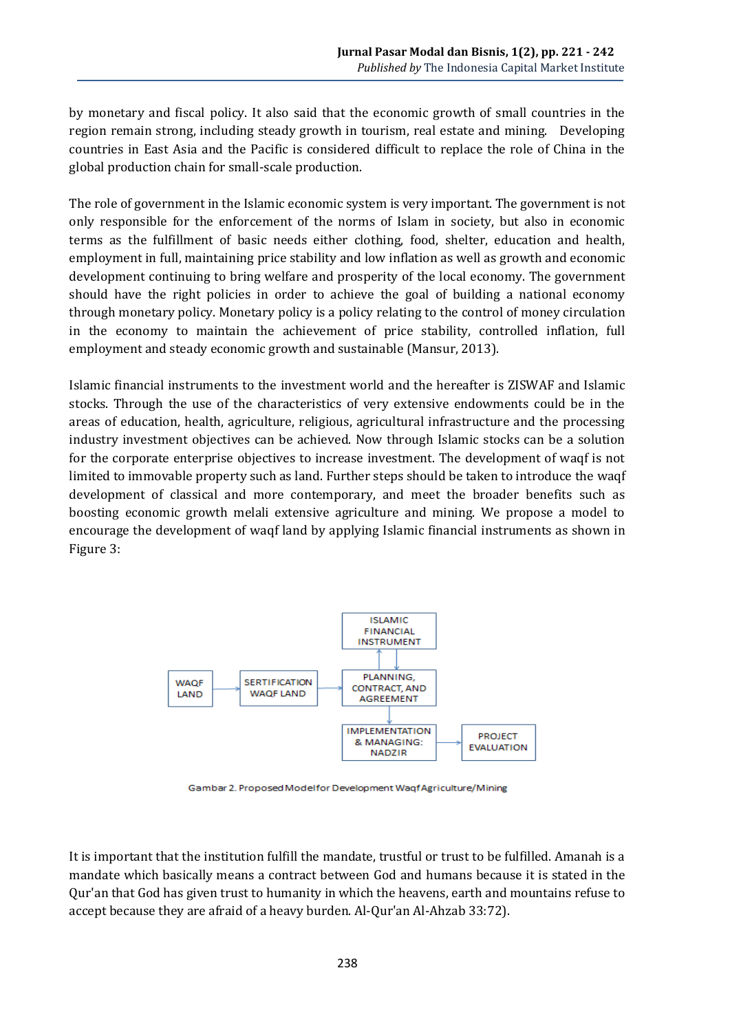by monetary and fiscal policy. It also said that the economic growth of small countries in the region remain strong, including steady growth in tourism, real estate and mining. Developing countries in East Asia and the Pacific is considered difficult to replace the role of China in the global production chain for small-scale production.

The role of government in the Islamic economic system is very important. The government is not only responsible for the enforcement of the norms of Islam in society, but also in economic terms as the fulfillment of basic needs either clothing, food, shelter, education and health, employment in full, maintaining price stability and low inflation as well as growth and economic development continuing to bring welfare and prosperity of the local economy. The government should have the right policies in order to achieve the goal of building a national economy through monetary policy. Monetary policy is a policy relating to the control of money circulation in the economy to maintain the achievement of price stability, controlled inflation, full employment and steady economic growth and sustainable (Mansur, 2013).

Islamic financial instruments to the investment world and the hereafter is ZISWAF and Islamic stocks. Through the use of the characteristics of very extensive endowments could be in the areas of education, health, agriculture, religious, agricultural infrastructure and the processing industry investment objectives can be achieved. Now through Islamic stocks can be a solution for the corporate enterprise objectives to increase investment. The development of waqf is not limited to immovable property such as land. Further steps should be taken to introduce the waqf development of classical and more contemporary, and meet the broader benefits such as boosting economic growth melali extensive agriculture and mining. We propose a model to encourage the development of waqf land by applying Islamic financial instruments as shown in Figure 3:



Gambar 2. Proposed Modelfor Development Waqf Agriculture/Mining

It is important that the institution fulfill the mandate, trustful or trust to be fulfilled. Amanah is a mandate which basically means a contract between God and humans because it is stated in the Qur'an that God has given trust to humanity in which the heavens, earth and mountains refuse to accept because they are afraid of a heavy burden. Al-Qur'an Al-Ahzab 33:72).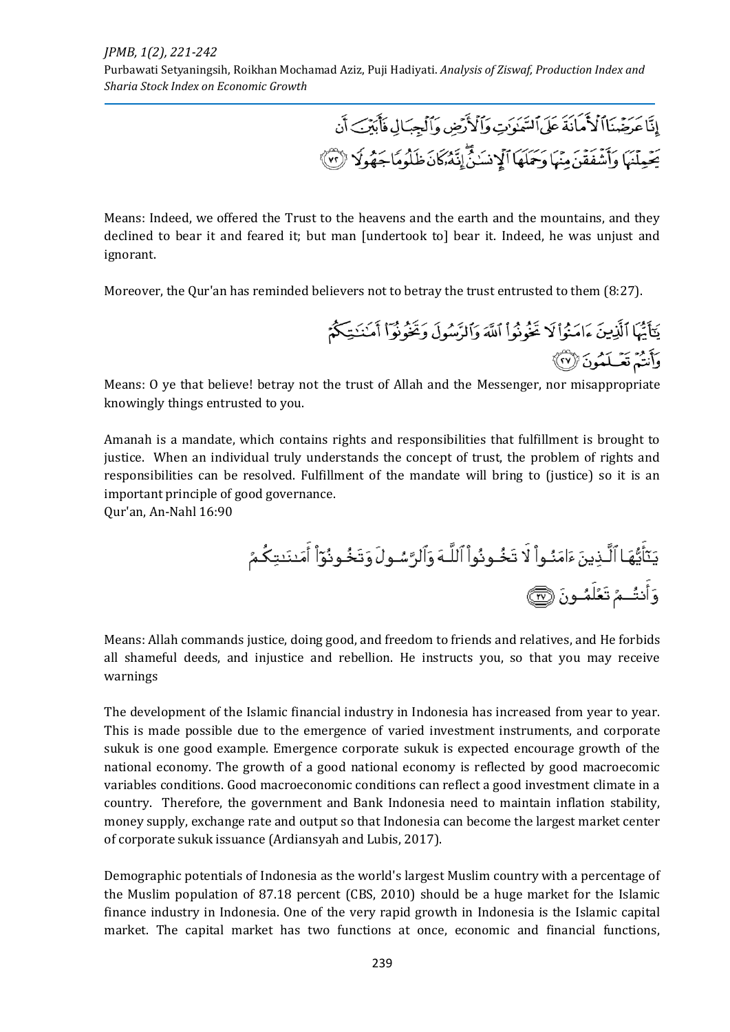Purbawati Setyaningsih, Roikhan Mochamad Aziz, Puji Hadiyati. *Analysis of Ziswaf, Production Index and Sharia Stock Index on Economic Growth*

> إِنَّا عَرَضْنَااً لَأَمَانَهَ عَلَى ٱلسَّمَوَتِ وَٱلْأَرْضِ وَٱلْجِبَالِ فَأَبَيْنَ أَن يَعۡمِلۡنَهَا وَأَشۡفَقۡنَ مِنۡهَا وَحَمَلَهَا ٱلۡإِنسَٰنُۖ إِنَّهُۥكَانَ ظَلُومًاجَهُولَا ۚ (٣)

Means: Indeed, we offered the Trust to the heavens and the earth and the mountains, and they declined to bear it and feared it; but man [undertook to] bear it. Indeed, he was unjust and ignorant.

Moreover, the Qur'an has reminded believers not to betray the trust entrusted to them (8:27).

يَتَأَيُّهَا ٱلَّذِينَ ءَامَنُواْ لَا تَخُوْنُواْ ٱللَّهَ وَٱلرَّسُولَ وَتَخُوْنُوٓاْ أَمَنَنَـتِكُمْ وَأَنتُمْ تَعْـلَمُونَ ۞

Means: O ye that believe! betray not the trust of Allah and the Messenger, nor misappropriate knowingly things entrusted to you.

Amanah is a mandate, which contains rights and responsibilities that fulfillment is brought to justice. When an individual truly understands the concept of trust, the problem of rights and responsibilities can be resolved. Fulfillment of the mandate will bring to (justice) so it is an important principle of good governance.

Qur'an, An-Nahl 16:90

Means: Allah commands justice, doing good, and freedom to friends and relatives, and He forbids all shameful deeds, and injustice and rebellion. He instructs you, so that you may receive warnings

The development of the Islamic financial industry in Indonesia has increased from year to year. This is made possible due to the emergence of varied investment instruments, and corporate sukuk is one good example. Emergence corporate sukuk is expected encourage growth of the national economy. The growth of a good national economy is reflected by good macroecomic variables conditions. Good macroeconomic conditions can reflect a good investment climate in a country. Therefore, the government and Bank Indonesia need to maintain inflation stability, money supply, exchange rate and output so that Indonesia can become the largest market center of corporate sukuk issuance (Ardiansyah and Lubis, 2017).

Demographic potentials of Indonesia as the world's largest Muslim country with a percentage of the Muslim population of 87.18 percent (CBS, 2010) should be a huge market for the Islamic finance industry in Indonesia. One of the very rapid growth in Indonesia is the Islamic capital market. The capital market has two functions at once, economic and financial functions,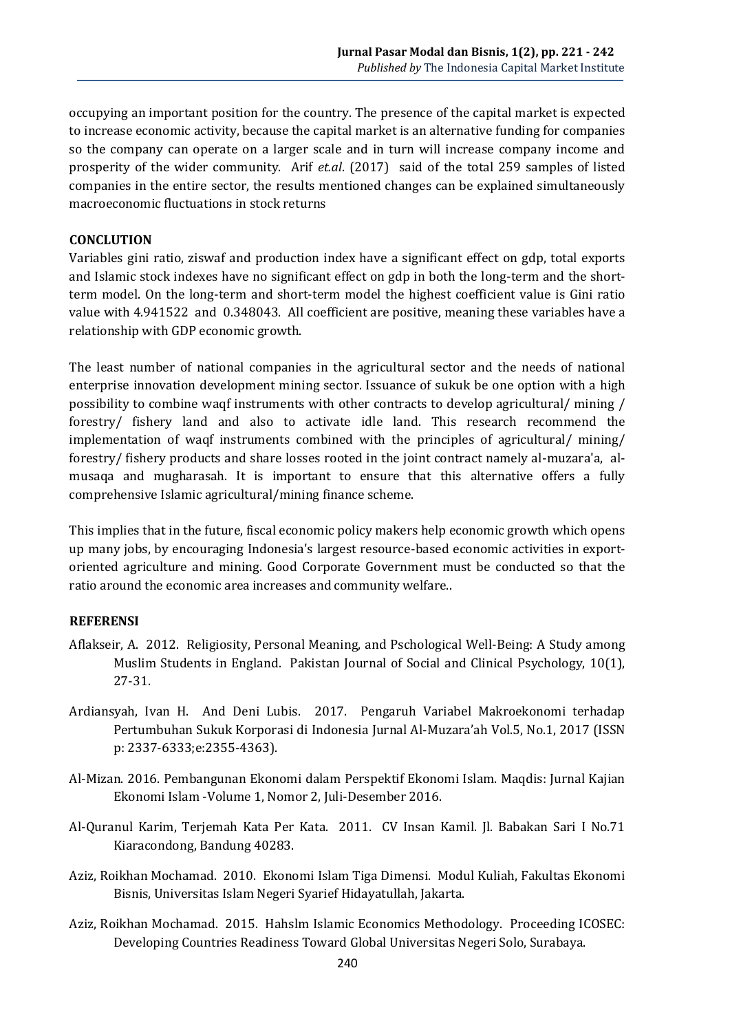occupying an important position for the country. The presence of the capital market is expected to increase economic activity, because the capital market is an alternative funding for companies so the company can operate on a larger scale and in turn will increase company income and prosperity of the wider community. Arif *et.al*. (2017) said of the total 259 samples of listed companies in the entire sector, the results mentioned changes can be explained simultaneously macroeconomic fluctuations in stock returns

#### **CONCLUTION**

Variables gini ratio, ziswaf and production index have a significant effect on gdp, total exports and Islamic stock indexes have no significant effect on gdp in both the long-term and the shortterm model. On the long-term and short-term model the highest coefficient value is Gini ratio value with 4.941522 and 0.348043. All coefficient are positive, meaning these variables have a relationship with GDP economic growth.

The least number of national companies in the agricultural sector and the needs of national enterprise innovation development mining sector. Issuance of sukuk be one option with a high possibility to combine waqf instruments with other contracts to develop agricultural/ mining / forestry/ fishery land and also to activate idle land. This research recommend the implementation of waqf instruments combined with the principles of agricultural/ mining/ forestry/ fishery products and share losses rooted in the joint contract namely al-muzara'a, almusaqa and mugharasah. It is important to ensure that this alternative offers a fully comprehensive Islamic agricultural/mining finance scheme.

This implies that in the future, fiscal economic policy makers help economic growth which opens up many jobs, by encouraging Indonesia's largest resource-based economic activities in exportoriented agriculture and mining. Good Corporate Government must be conducted so that the ratio around the economic area increases and community welfare..

#### **REFERENSI**

- Aflakseir, A. 2012. Religiosity, Personal Meaning, and Pschological Well-Being: A Study among Muslim Students in England. Pakistan Journal of Social and Clinical Psychology, 10(1), 27-31.
- Ardiansyah, Ivan H. And Deni Lubis. 2017. Pengaruh Variabel Makroekonomi terhadap Pertumbuhan Sukuk Korporasi di Indonesia Jurnal Al-Muzara'ah Vol.5, No.1, 2017 (ISSN p: 2337-6333;e:2355-4363).
- Al-Mizan. 2016. Pembangunan Ekonomi dalam Perspektif Ekonomi Islam. Maqdis: Jurnal Kajian Ekonomi Islam -Volume 1, Nomor 2, Juli-Desember 2016.
- Al-Quranul Karim, Terjemah Kata Per Kata. 2011. CV Insan Kamil. Jl. Babakan Sari I No.71 Kiaracondong, Bandung 40283.
- Aziz, Roikhan Mochamad. 2010. Ekonomi Islam Tiga Dimensi. Modul Kuliah, Fakultas Ekonomi Bisnis, Universitas Islam Negeri Syarief Hidayatullah, Jakarta.
- Aziz, Roikhan Mochamad. 2015. Hahslm Islamic Economics Methodology. Proceeding ICOSEC: Developing Countries Readiness Toward Global Universitas Negeri Solo, Surabaya.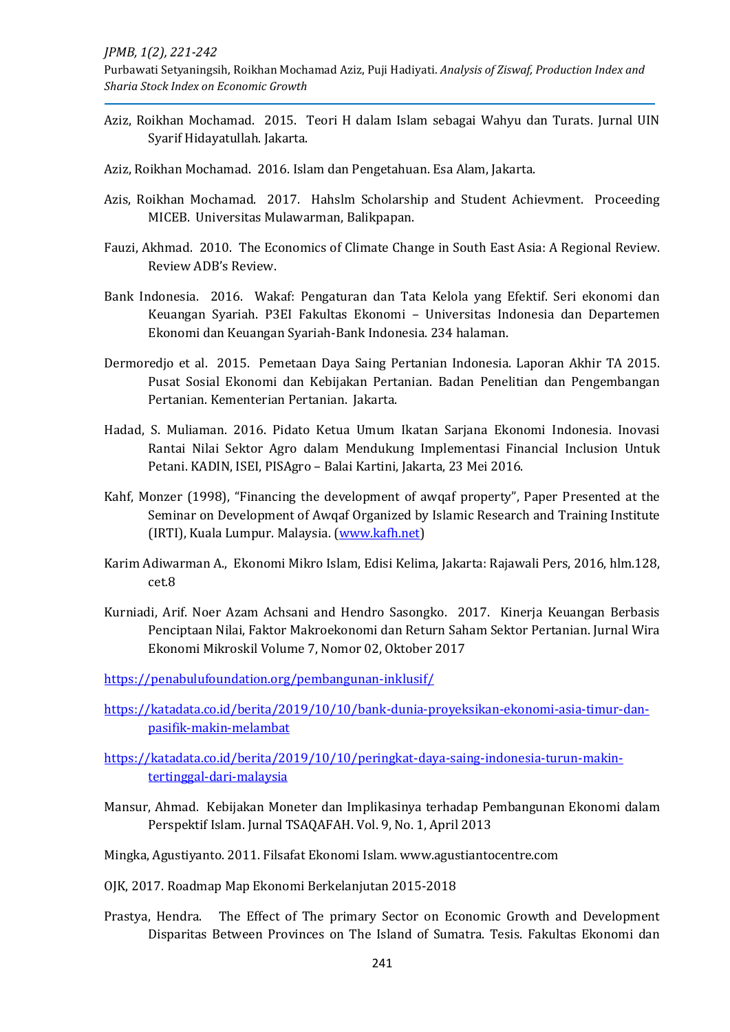Purbawati Setyaningsih, Roikhan Mochamad Aziz, Puji Hadiyati. *Analysis of Ziswaf, Production Index and Sharia Stock Index on Economic Growth*

- Aziz, Roikhan Mochamad. 2015. Teori H dalam Islam sebagai Wahyu dan Turats. Jurnal UIN Syarif Hidayatullah. Jakarta.
- Aziz, Roikhan Mochamad. 2016. Islam dan Pengetahuan. Esa Alam, Jakarta.
- Azis, Roikhan Mochamad. 2017. Hahslm Scholarship and Student Achievment. Proceeding MICEB. Universitas Mulawarman, Balikpapan.
- Fauzi, Akhmad. 2010. The Economics of Climate Change in South East Asia: A Regional Review. Review ADB's Review.
- Bank Indonesia. 2016. Wakaf: Pengaturan dan Tata Kelola yang Efektif. Seri ekonomi dan Keuangan Syariah. P3EI Fakultas Ekonomi – Universitas Indonesia dan Departemen Ekonomi dan Keuangan Syariah-Bank Indonesia. 234 halaman.
- Dermoredjo et al. 2015. Pemetaan Daya Saing Pertanian Indonesia. Laporan Akhir TA 2015. Pusat Sosial Ekonomi dan Kebijakan Pertanian. Badan Penelitian dan Pengembangan Pertanian. Kementerian Pertanian. Jakarta.
- Hadad, S. Muliaman. 2016. Pidato Ketua Umum Ikatan Sarjana Ekonomi Indonesia. Inovasi Rantai Nilai Sektor Agro dalam Mendukung Implementasi Financial Inclusion Untuk Petani. KADIN, ISEI, PISAgro – Balai Kartini, Jakarta, 23 Mei 2016.
- Kahf, Monzer (1998), "Financing the development of awqaf property", Paper Presented at the Seminar on Development of Awqaf Organized by Islamic Research and Training Institute (IRTI), Kuala Lumpur. Malaysia. [\(www.kafh.net\)](http://www.kafh.net/)
- Karim Adiwarman A., Ekonomi Mikro Islam, Edisi Kelima, Jakarta: Rajawali Pers, 2016, hlm.128, cet.8
- Kurniadi, Arif. Noer Azam Achsani and Hendro Sasongko. 2017. Kinerja Keuangan Berbasis Penciptaan Nilai, Faktor Makroekonomi dan Return Saham Sektor Pertanian. Jurnal Wira Ekonomi Mikroskil Volume 7, Nomor 02, Oktober 2017

<https://penabulufoundation.org/pembangunan-inklusif/>

[https://katadata.co.id/berita/2019/10/10/bank-dunia-proyeksikan-ekonomi-asia-timur-dan](https://katadata.co.id/berita/2019/10/10/bank-dunia-proyeksikan-ekonomi-asia-timur-dan-pasifik-makin-melambat)[pasifik-makin-melambat](https://katadata.co.id/berita/2019/10/10/bank-dunia-proyeksikan-ekonomi-asia-timur-dan-pasifik-makin-melambat)

[https://katadata.co.id/berita/2019/10/10/peringkat-daya-saing-indonesia-turun-makin](https://katadata.co.id/berita/2019/10/10/peringkat-daya-saing-indonesia-turun-makin-tertinggal-dari-malaysia)[tertinggal-dari-malaysia](https://katadata.co.id/berita/2019/10/10/peringkat-daya-saing-indonesia-turun-makin-tertinggal-dari-malaysia)

- Mansur, Ahmad. Kebijakan Moneter dan Implikasinya terhadap Pembangunan Ekonomi dalam Perspektif Islam. Jurnal TSAQAFAH. Vol. 9, No. 1, April 2013
- Mingka, Agustiyanto. 2011. Filsafat Ekonomi Islam. www.agustiantocentre.com
- OJK, 2017. Roadmap Map Ekonomi Berkelanjutan 2015-2018
- Prastya, Hendra. The Effect of The primary Sector on Economic Growth and Development Disparitas Between Provinces on The Island of Sumatra. Tesis. Fakultas Ekonomi dan